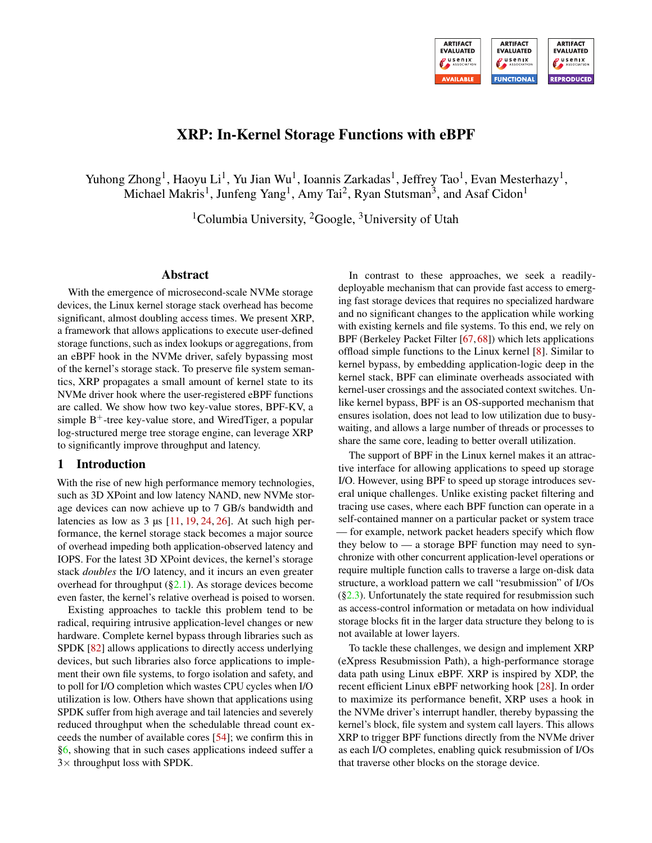

# XRP: In-Kernel Storage Functions with eBPF

Yuhong Zhong<sup>1</sup>, Haoyu Li<sup>1</sup>, Yu Jian Wu<sup>1</sup>, Ioannis Zarkadas<sup>1</sup>, Jeffrey Tao<sup>1</sup>, Evan Mesterhazy<sup>1</sup>, Michael Makris<sup>1</sup>, Junfeng Yang<sup>1</sup>, Amy Tai<sup>2</sup>, Ryan Stutsman<sup>3</sup>, and Asaf Cidon<sup>1</sup>

<sup>1</sup>Columbia University, <sup>2</sup>Google, <sup>3</sup>University of Utah

### Abstract

With the emergence of microsecond-scale NVMe storage devices, the Linux kernel storage stack overhead has become significant, almost doubling access times. We present XRP, a framework that allows applications to execute user-defined storage functions, such as index lookups or aggregations, from an eBPF hook in the NVMe driver, safely bypassing most of the kernel's storage stack. To preserve file system semantics, XRP propagates a small amount of kernel state to its NVMe driver hook where the user-registered eBPF functions are called. We show how two key-value stores, BPF-KV, a simple  $B^+$ -tree key-value store, and WiredTiger, a popular log-structured merge tree storage engine, can leverage XRP to significantly improve throughput and latency.

### 1 Introduction

With the rise of new high performance memory technologies, such as 3D XPoint and low latency NAND, new NVMe storage devices can now achieve up to 7 GB/s bandwidth and latencies as low as  $3 \mu s$  [\[11,](#page-13-0) [19,](#page-13-1) [24,](#page-13-2) [26\]](#page-13-3). At such high performance, the kernel storage stack becomes a major source of overhead impeding both application-observed latency and IOPS. For the latest 3D XPoint devices, the kernel's storage stack *doubles* the I/O latency, and it incurs an even greater overhead for throughput  $(\S2.1)$ . As storage devices become even faster, the kernel's relative overhead is poised to worsen.

Existing approaches to tackle this problem tend to be radical, requiring intrusive application-level changes or new hardware. Complete kernel bypass through libraries such as SPDK [\[82\]](#page-16-0) allows applications to directly access underlying devices, but such libraries also force applications to implement their own file systems, to forgo isolation and safety, and to poll for I/O completion which wastes CPU cycles when I/O utilization is low. Others have shown that applications using SPDK suffer from high average and tail latencies and severely reduced throughput when the schedulable thread count exceeds the number of available cores [\[54\]](#page-15-0); we confirm this in [§6,](#page-9-0) showing that in such cases applications indeed suffer a  $3\times$  throughput loss with SPDK.

In contrast to these approaches, we seek a readilydeployable mechanism that can provide fast access to emerging fast storage devices that requires no specialized hardware and no significant changes to the application while working with existing kernels and file systems. To this end, we rely on BPF (Berkeley Packet Filter [\[67,](#page-15-1) [68\]](#page-16-1)) which lets applications offload simple functions to the Linux kernel [\[8\]](#page-13-4). Similar to kernel bypass, by embedding application-logic deep in the kernel stack, BPF can eliminate overheads associated with kernel-user crossings and the associated context switches. Unlike kernel bypass, BPF is an OS-supported mechanism that ensures isolation, does not lead to low utilization due to busywaiting, and allows a large number of threads or processes to share the same core, leading to better overall utilization.

The support of BPF in the Linux kernel makes it an attractive interface for allowing applications to speed up storage I/O. However, using BPF to speed up storage introduces several unique challenges. Unlike existing packet filtering and tracing use cases, where each BPF function can operate in a self-contained manner on a particular packet or system trace — for example, network packet headers specify which flow they below to  $\sim$  a storage BPF function may need to synchronize with other concurrent application-level operations or require multiple function calls to traverse a large on-disk data structure, a workload pattern we call "resubmission" of I/Os  $(\S2.3)$ . Unfortunately the state required for resubmission such as access-control information or metadata on how individual storage blocks fit in the larger data structure they belong to is not available at lower layers.

To tackle these challenges, we design and implement XRP (eXpress Resubmission Path), a high-performance storage data path using Linux eBPF. XRP is inspired by XDP, the recent efficient Linux eBPF networking hook [\[28\]](#page-13-5). In order to maximize its performance benefit, XRP uses a hook in the NVMe driver's interrupt handler, thereby bypassing the kernel's block, file system and system call layers. This allows XRP to trigger BPF functions directly from the NVMe driver as each I/O completes, enabling quick resubmission of I/Os that traverse other blocks on the storage device.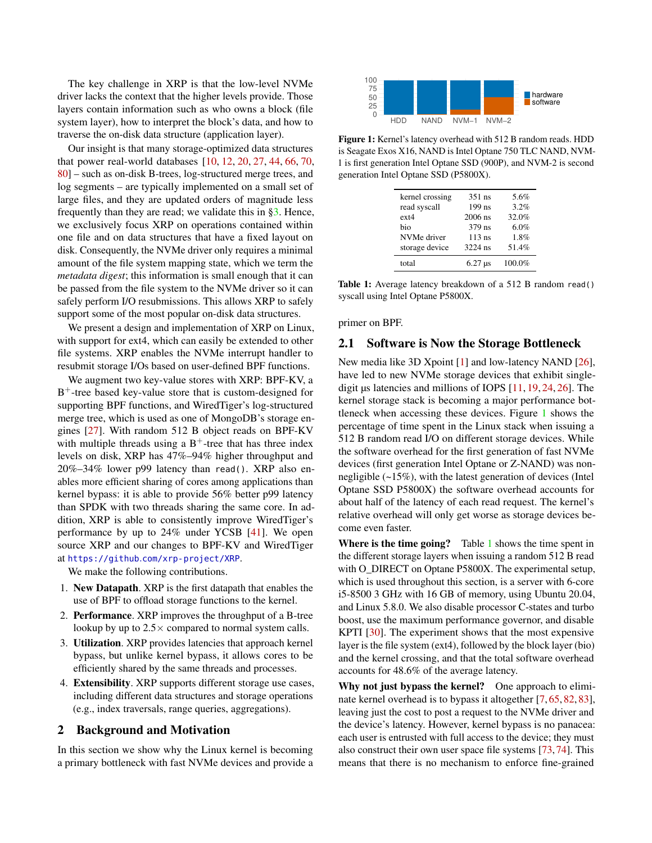The key challenge in XRP is that the low-level NVMe driver lacks the context that the higher levels provide. Those layers contain information such as who owns a block (file system layer), how to interpret the block's data, and how to traverse the on-disk data structure (application layer).

Our insight is that many storage-optimized data structures that power real-world databases [\[10,](#page-13-6) [12,](#page-13-7) [20,](#page-13-8) [27,](#page-13-9) [44,](#page-14-0) [66,](#page-15-2) [70,](#page-16-2) [80\]](#page-16-3) – such as on-disk B-trees, log-structured merge trees, and log segments – are typically implemented on a small set of large files, and they are updated orders of magnitude less frequently than they are read; we validate this in [§3.](#page-3-0) Hence, we exclusively focus XRP on operations contained within one file and on data structures that have a fixed layout on disk. Consequently, the NVMe driver only requires a minimal amount of the file system mapping state, which we term the *metadata digest*; this information is small enough that it can be passed from the file system to the NVMe driver so it can safely perform I/O resubmissions. This allows XRP to safely support some of the most popular on-disk data structures.

We present a design and implementation of XRP on Linux, with support for ext4, which can easily be extended to other file systems. XRP enables the NVMe interrupt handler to resubmit storage I/Os based on user-defined BPF functions.

We augment two key-value stores with XRP: BPF-KV, a B<sup>+</sup>-tree based key-value store that is custom-designed for supporting BPF functions, and WiredTiger's log-structured merge tree, which is used as one of MongoDB's storage engines [\[27\]](#page-13-9). With random 512 B object reads on BPF-KV with multiple threads using a  $B^+$ -tree that has three index levels on disk, XRP has 47%–94% higher throughput and 20%–34% lower p99 latency than read(). XRP also enables more efficient sharing of cores among applications than kernel bypass: it is able to provide 56% better p99 latency than SPDK with two threads sharing the same core. In addition, XRP is able to consistently improve WiredTiger's performance by up to 24% under YCSB [\[41\]](#page-14-1). We open source XRP and our changes to BPF-KV and WiredTiger at https://github.[com/xrp-project/XRP](https://github.com/xrp-project/XRP).

We make the following contributions.

- 1. New Datapath. XRP is the first datapath that enables the use of BPF to offload storage functions to the kernel.
- 2. Performance. XRP improves the throughput of a B-tree lookup by up to  $2.5 \times$  compared to normal system calls.
- 3. Utilization. XRP provides latencies that approach kernel bypass, but unlike kernel bypass, it allows cores to be efficiently shared by the same threads and processes.
- 4. Extensibility. XRP supports different storage use cases, including different data structures and storage operations (e.g., index traversals, range queries, aggregations).

### 2 Background and Motivation

In this section we show why the Linux kernel is becoming a primary bottleneck with fast NVMe devices and provide a

<span id="page-1-1"></span>

<span id="page-1-2"></span>Figure 1: Kernel's latency overhead with 512 B random reads. HDD is Seagate Exos X16, NAND is Intel Optane 750 TLC NAND, NVM-1 is first generation Intel Optane SSD (900P), and NVM-2 is second generation Intel Optane SSD (P5800X).

| kernel crossing | $351$ ns  | 5.6%   |
|-----------------|-----------|--------|
| read syscall    | $199$ ns  | 3.2%   |
| $ext{2}$        | $2006$ ns | 32.0%  |
| bio             | 379 ns    | 6.0%   |
| NVMe driver     | $113$ ns  | 1.8%   |
| storage device  | $3224$ ns | 51.4%  |
| total           | $6.27$ us | 100.0% |

Table 1: Average latency breakdown of a 512 B random read() syscall using Intel Optane P5800X.

primer on BPF.

### <span id="page-1-0"></span>2.1 Software is Now the Storage Bottleneck

New media like 3D Xpoint [\[1\]](#page-12-0) and low-latency NAND [\[26\]](#page-13-3), have led to new NVMe storage devices that exhibit singledigit  $\mu$ s latencies and millions of IOPS [\[11,](#page-13-0) [19,](#page-13-1) [24,](#page-13-2) [26\]](#page-13-3). The kernel storage stack is becoming a major performance bottleneck when accessing these devices. Figure [1](#page-1-1) shows the percentage of time spent in the Linux stack when issuing a 512 B random read I/O on different storage devices. While the software overhead for the first generation of fast NVMe devices (first generation Intel Optane or Z-NAND) was nonnegligible (~15%), with the latest generation of devices (Intel Optane SSD P5800X) the software overhead accounts for about half of the latency of each read request. The kernel's relative overhead will only get worse as storage devices become even faster.

Where is the time going? Table  $1$  shows the time spent in the different storage layers when issuing a random 512 B read with O\_DIRECT on Optane P5800X. The experimental setup, which is used throughout this section, is a server with 6-core i5-8500 3 GHz with 16 GB of memory, using Ubuntu 20.04, and Linux 5.8.0. We also disable processor C-states and turbo boost, use the maximum performance governor, and disable KPTI [\[30\]](#page-13-10). The experiment shows that the most expensive layer is the file system (ext4), followed by the block layer (bio) and the kernel crossing, and that the total software overhead accounts for 48.6% of the average latency.

Why not just bypass the kernel? One approach to eliminate kernel overhead is to bypass it altogether [\[7,](#page-13-11) [65,](#page-15-3) [82,](#page-16-0) [83\]](#page-16-4), leaving just the cost to post a request to the NVMe driver and the device's latency. However, kernel bypass is no panacea: each user is entrusted with full access to the device; they must also construct their own user space file systems [\[73,](#page-16-5) [74\]](#page-16-6). This means that there is no mechanism to enforce fine-grained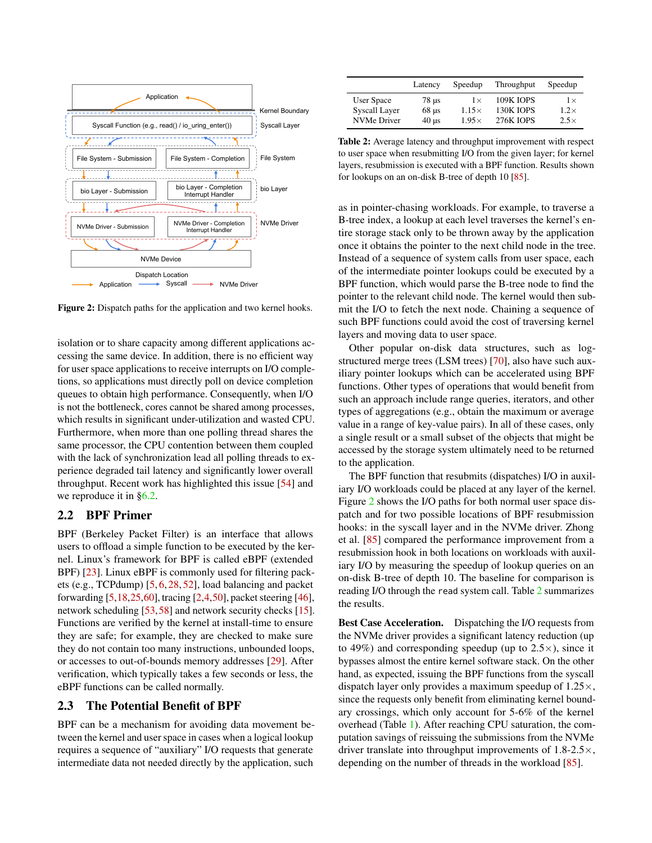<span id="page-2-1"></span>

Figure 2: Dispatch paths for the application and two kernel hooks.

isolation or to share capacity among different applications accessing the same device. In addition, there is no efficient way for user space applications to receive interrupts on I/O completions, so applications must directly poll on device completion queues to obtain high performance. Consequently, when I/O is not the bottleneck, cores cannot be shared among processes, which results in significant under-utilization and wasted CPU. Furthermore, when more than one polling thread shares the same processor, the CPU contention between them coupled with the lack of synchronization lead all polling threads to experience degraded tail latency and significantly lower overall throughput. Recent work has highlighted this issue [\[54\]](#page-15-0) and we reproduce it in [§6.2.](#page-9-1)

## 2.2 BPF Primer

BPF (Berkeley Packet Filter) is an interface that allows users to offload a simple function to be executed by the kernel. Linux's framework for BPF is called eBPF (extended BPF) [\[23\]](#page-13-12). Linux eBPF is commonly used for filtering packets (e.g., TCPdump) [\[5,](#page-13-13) [6,](#page-13-14) [28,](#page-13-5) [52\]](#page-15-4), load balancing and packet forwarding [\[5](#page-13-13)[,18,](#page-13-15)[25](#page-13-16)[,60\]](#page-15-5), tracing [\[2,](#page-12-1)[4,](#page-13-17)[50\]](#page-14-2), packet steering [\[46\]](#page-14-3), network scheduling [\[53,](#page-15-6)[58\]](#page-15-7) and network security checks [\[15\]](#page-13-18). Functions are verified by the kernel at install-time to ensure they are safe; for example, they are checked to make sure they do not contain too many instructions, unbounded loops, or accesses to out-of-bounds memory addresses [\[29\]](#page-13-19). After verification, which typically takes a few seconds or less, the eBPF functions can be called normally.

### <span id="page-2-0"></span>2.3 The Potential Benefit of BPF

BPF can be a mechanism for avoiding data movement between the kernel and user space in cases when a logical lookup requires a sequence of "auxiliary" I/O requests that generate intermediate data not needed directly by the application, such

<span id="page-2-2"></span>

|                    | Latency                  | Speedup      | Throughput       | Speedup     |
|--------------------|--------------------------|--------------|------------------|-------------|
| User Space         | 78 us                    | $1\times$    | <b>109K IOPS</b> | $1\times$   |
| Syscall Layer      | $68 \text{ }\mu\text{s}$ | $1.15\times$ | 130K JOPS        | $1.2\times$ |
| <b>NVMe Driver</b> | $40 \text{ }\mu\text{s}$ | $1.95\times$ | <b>276K JOPS</b> | $2.5\times$ |

Table 2: Average latency and throughput improvement with respect to user space when resubmitting I/O from the given layer; for kernel layers, resubmission is executed with a BPF function. Results shown for lookups on an on-disk B-tree of depth 10 [\[85\]](#page-17-0).

as in pointer-chasing workloads. For example, to traverse a B-tree index, a lookup at each level traverses the kernel's entire storage stack only to be thrown away by the application once it obtains the pointer to the next child node in the tree. Instead of a sequence of system calls from user space, each of the intermediate pointer lookups could be executed by a BPF function, which would parse the B-tree node to find the pointer to the relevant child node. The kernel would then submit the I/O to fetch the next node. Chaining a sequence of such BPF functions could avoid the cost of traversing kernel layers and moving data to user space.

Other popular on-disk data structures, such as logstructured merge trees (LSM trees) [\[70\]](#page-16-2), also have such auxiliary pointer lookups which can be accelerated using BPF functions. Other types of operations that would benefit from such an approach include range queries, iterators, and other types of aggregations (e.g., obtain the maximum or average value in a range of key-value pairs). In all of these cases, only a single result or a small subset of the objects that might be accessed by the storage system ultimately need to be returned to the application.

The BPF function that resubmits (dispatches) I/O in auxiliary I/O workloads could be placed at any layer of the kernel. Figure [2](#page-2-1) shows the I/O paths for both normal user space dispatch and for two possible locations of BPF resubmission hooks: in the syscall layer and in the NVMe driver. Zhong et al. [\[85\]](#page-17-0) compared the performance improvement from a resubmission hook in both locations on workloads with auxiliary I/O by measuring the speedup of lookup queries on an on-disk B-tree of depth 10. The baseline for comparison is reading I/O through the read system call. Table [2](#page-2-2) summarizes the results.

Best Case Acceleration. Dispatching the I/O requests from the NVMe driver provides a significant latency reduction (up to 49%) and corresponding speedup (up to  $2.5 \times$ ), since it bypasses almost the entire kernel software stack. On the other hand, as expected, issuing the BPF functions from the syscall dispatch layer only provides a maximum speedup of  $1.25\times$ , since the requests only benefit from eliminating kernel boundary crossings, which only account for 5-6% of the kernel overhead (Table [1\)](#page-1-2). After reaching CPU saturation, the computation savings of reissuing the submissions from the NVMe driver translate into throughput improvements of 1.8-2.5×, depending on the number of threads in the workload [\[85\]](#page-17-0).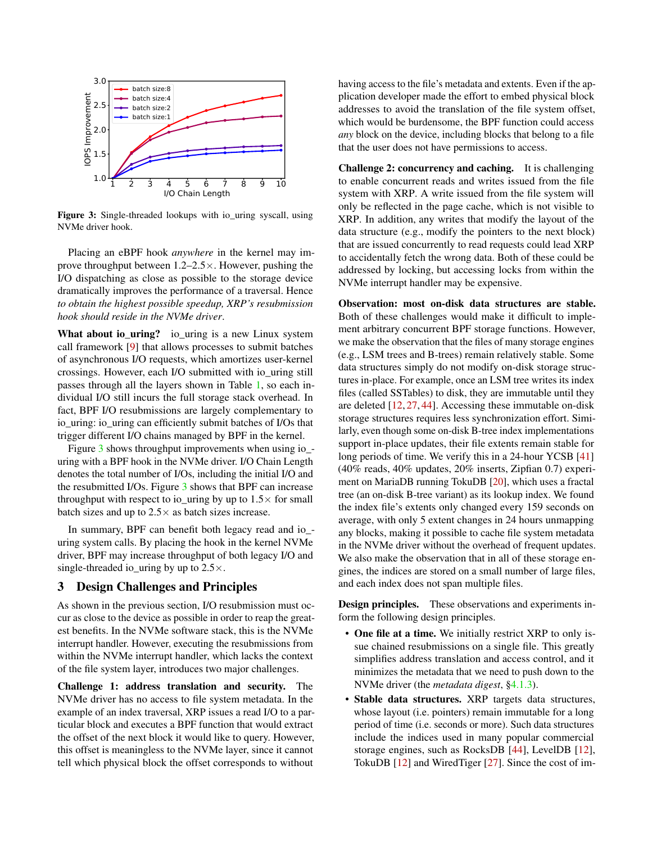<span id="page-3-1"></span>

Figure 3: Single-threaded lookups with io\_uring syscall, using NVMe driver hook.

Placing an eBPF hook *anywhere* in the kernel may improve throughput between 1.2–2.5×. However, pushing the I/O dispatching as close as possible to the storage device dramatically improves the performance of a traversal. Hence *to obtain the highest possible speedup, XRP's resubmission hook should reside in the NVMe driver*.

What about io\_uring? io\_uring is a new Linux system call framework [\[9\]](#page-13-20) that allows processes to submit batches of asynchronous I/O requests, which amortizes user-kernel crossings. However, each I/O submitted with io\_uring still passes through all the layers shown in Table [1,](#page-1-2) so each individual I/O still incurs the full storage stack overhead. In fact, BPF I/O resubmissions are largely complementary to io\_uring: io\_uring can efficiently submit batches of I/Os that trigger different I/O chains managed by BPF in the kernel.

Figure [3](#page-3-1) shows throughput improvements when using io\_ uring with a BPF hook in the NVMe driver. I/O Chain Length denotes the total number of I/Os, including the initial I/O and the resubmitted I/Os. Figure [3](#page-3-1) shows that BPF can increase throughput with respect to io\_uring by up to  $1.5\times$  for small batch sizes and up to  $2.5 \times$  as batch sizes increase.

In summary, BPF can benefit both legacy read and io uring system calls. By placing the hook in the kernel NVMe driver, BPF may increase throughput of both legacy I/O and single-threaded io\_uring by up to  $2.5 \times$ .

### <span id="page-3-0"></span>3 Design Challenges and Principles

As shown in the previous section, I/O resubmission must occur as close to the device as possible in order to reap the greatest benefits. In the NVMe software stack, this is the NVMe interrupt handler. However, executing the resubmissions from within the NVMe interrupt handler, which lacks the context of the file system layer, introduces two major challenges.

Challenge 1: address translation and security. The NVMe driver has no access to file system metadata. In the example of an index traversal, XRP issues a read I/O to a particular block and executes a BPF function that would extract the offset of the next block it would like to query. However, this offset is meaningless to the NVMe layer, since it cannot tell which physical block the offset corresponds to without

having access to the file's metadata and extents. Even if the application developer made the effort to embed physical block addresses to avoid the translation of the file system offset, which would be burdensome, the BPF function could access *any* block on the device, including blocks that belong to a file that the user does not have permissions to access.

Challenge 2: concurrency and caching. It is challenging to enable concurrent reads and writes issued from the file system with XRP. A write issued from the file system will only be reflected in the page cache, which is not visible to XRP. In addition, any writes that modify the layout of the data structure (e.g., modify the pointers to the next block) that are issued concurrently to read requests could lead XRP to accidentally fetch the wrong data. Both of these could be addressed by locking, but accessing locks from within the NVMe interrupt handler may be expensive.

Observation: most on-disk data structures are stable. Both of these challenges would make it difficult to implement arbitrary concurrent BPF storage functions. However, we make the observation that the files of many storage engines (e.g., LSM trees and B-trees) remain relatively stable. Some data structures simply do not modify on-disk storage structures in-place. For example, once an LSM tree writes its index files (called SSTables) to disk, they are immutable until they are deleted [\[12,](#page-13-7) [27,](#page-13-9) [44\]](#page-14-0). Accessing these immutable on-disk storage structures requires less synchronization effort. Similarly, even though some on-disk B-tree index implementations support in-place updates, their file extents remain stable for long periods of time. We verify this in a 24-hour YCSB [\[41\]](#page-14-1) (40% reads, 40% updates, 20% inserts, Zipfian 0.7) experiment on MariaDB running TokuDB [\[20\]](#page-13-8), which uses a fractal tree (an on-disk B-tree variant) as its lookup index. We found the index file's extents only changed every 159 seconds on average, with only 5 extent changes in 24 hours unmapping any blocks, making it possible to cache file system metadata in the NVMe driver without the overhead of frequent updates. We also make the observation that in all of these storage engines, the indices are stored on a small number of large files, and each index does not span multiple files.

Design principles. These observations and experiments inform the following design principles.

- One file at a time. We initially restrict XRP to only issue chained resubmissions on a single file. This greatly simplifies address translation and access control, and it minimizes the metadata that we need to push down to the NVMe driver (the *metadata digest*, [§4.1.3\)](#page-5-0).
- Stable data structures. XRP targets data structures, whose layout (i.e. pointers) remain immutable for a long period of time (i.e. seconds or more). Such data structures include the indices used in many popular commercial storage engines, such as RocksDB [\[44\]](#page-14-0), LevelDB [\[12\]](#page-13-7), TokuDB [\[12\]](#page-13-7) and WiredTiger [\[27\]](#page-13-9). Since the cost of im-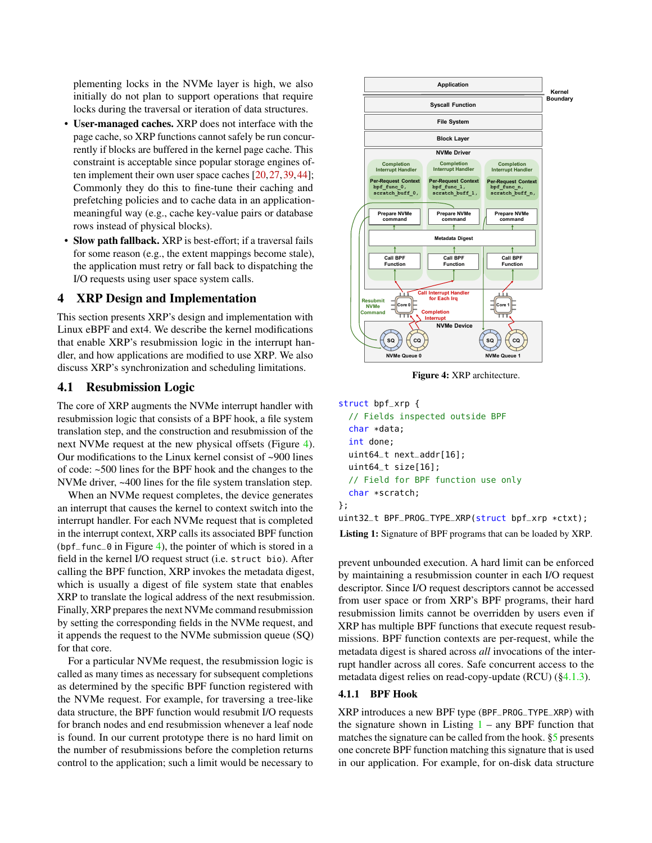plementing locks in the NVMe layer is high, we also initially do not plan to support operations that require locks during the traversal or iteration of data structures.

- User-managed caches. XRP does not interface with the page cache, so XRP functions cannot safely be run concurrently if blocks are buffered in the kernel page cache. This constraint is acceptable since popular storage engines often implement their own user space caches [\[20,](#page-13-8)[27,](#page-13-9)[39,](#page-14-4)[44\]](#page-14-0); Commonly they do this to fine-tune their caching and prefetching policies and to cache data in an applicationmeaningful way (e.g., cache key-value pairs or database rows instead of physical blocks).
- Slow path fallback. XRP is best-effort; if a traversal fails for some reason (e.g., the extent mappings become stale), the application must retry or fall back to dispatching the I/O requests using user space system calls.

## 4 XRP Design and Implementation

This section presents XRP's design and implementation with Linux eBPF and ext4. We describe the kernel modifications that enable XRP's resubmission logic in the interrupt handler, and how applications are modified to use XRP. We also discuss XRP's synchronization and scheduling limitations.

### 4.1 Resubmission Logic

The core of XRP augments the NVMe interrupt handler with resubmission logic that consists of a BPF hook, a file system translation step, and the construction and resubmission of the next NVMe request at the new physical offsets (Figure [4\)](#page-4-0). Our modifications to the Linux kernel consist of ~900 lines of code: ~500 lines for the BPF hook and the changes to the NVMe driver, ~400 lines for the file system translation step.

When an NVMe request completes, the device generates an interrupt that causes the kernel to context switch into the interrupt handler. For each NVMe request that is completed in the interrupt context, XRP calls its associated BPF function (bpf\_func\_0 in Figure [4\)](#page-4-0), the pointer of which is stored in a field in the kernel I/O request struct (i.e. struct bio). After calling the BPF function, XRP invokes the metadata digest, which is usually a digest of file system state that enables XRP to translate the logical address of the next resubmission. Finally, XRP prepares the next NVMe command resubmission by setting the corresponding fields in the NVMe request, and it appends the request to the NVMe submission queue (SQ) for that core.

For a particular NVMe request, the resubmission logic is called as many times as necessary for subsequent completions as determined by the specific BPF function registered with the NVMe request. For example, for traversing a tree-like data structure, the BPF function would resubmit I/O requests for branch nodes and end resubmission whenever a leaf node is found. In our current prototype there is no hard limit on the number of resubmissions before the completion returns control to the application; such a limit would be necessary to

<span id="page-4-0"></span>

Figure 4: XRP architecture.

## <span id="page-4-1"></span>struct bpf\_xrp {

// Fields inspected outside BPF char \*data; int done; uint64\_t next\_addr[16]; uint64\_t size[16]; // Field for BPF function use only char \*scratch; };

uint32\_t BPF\_PROG\_TYPE\_XRP(struct bpf\_xrp \*ctxt);

Listing 1: Signature of BPF programs that can be loaded by XRP.

prevent unbounded execution. A hard limit can be enforced by maintaining a resubmission counter in each I/O request descriptor. Since I/O request descriptors cannot be accessed from user space or from XRP's BPF programs, their hard resubmission limits cannot be overridden by users even if XRP has multiple BPF functions that execute request resubmissions. BPF function contexts are per-request, while the metadata digest is shared across *all* invocations of the interrupt handler across all cores. Safe concurrent access to the metadata digest relies on read-copy-update (RCU) ([§4.1.3\)](#page-5-0).

#### 4.1.1 BPF Hook

XRP introduces a new BPF type (BPF\_PROG\_TYPE\_XRP) with the signature shown in Listing  $1 - any BPF$  $1 - any BPF$  function that matches the signature can be called from the hook. [§5](#page-6-0) presents one concrete BPF function matching this signature that is used in our application. For example, for on-disk data structure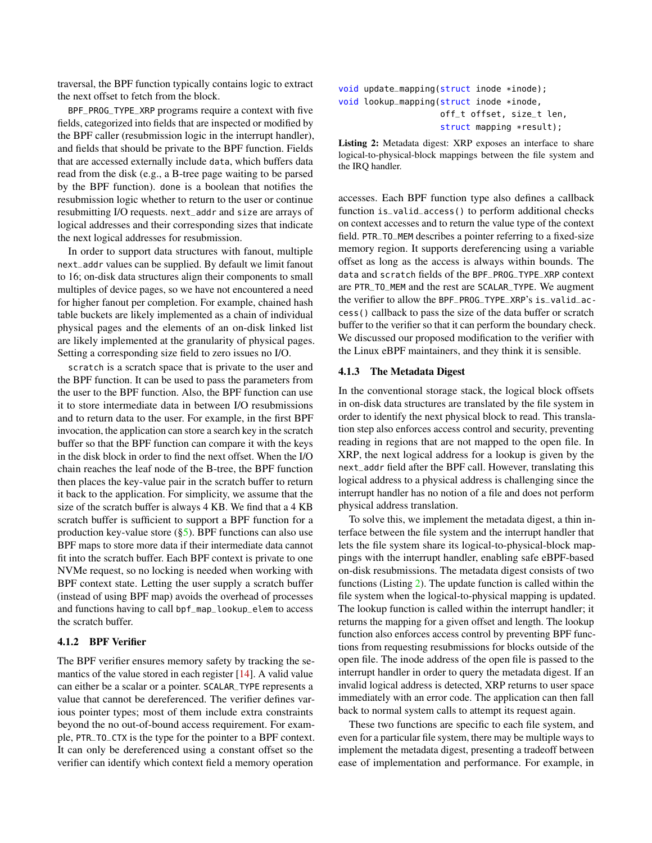traversal, the BPF function typically contains logic to extract the next offset to fetch from the block.

BPF\_PROG\_TYPE\_XRP programs require a context with five fields, categorized into fields that are inspected or modified by the BPF caller (resubmission logic in the interrupt handler), and fields that should be private to the BPF function. Fields that are accessed externally include data, which buffers data read from the disk (e.g., a B-tree page waiting to be parsed by the BPF function). done is a boolean that notifies the resubmission logic whether to return to the user or continue resubmitting I/O requests. next\_addr and size are arrays of logical addresses and their corresponding sizes that indicate the next logical addresses for resubmission.

In order to support data structures with fanout, multiple next\_addr values can be supplied. By default we limit fanout to 16; on-disk data structures align their components to small multiples of device pages, so we have not encountered a need for higher fanout per completion. For example, chained hash table buckets are likely implemented as a chain of individual physical pages and the elements of an on-disk linked list are likely implemented at the granularity of physical pages. Setting a corresponding size field to zero issues no I/O.

scratch is a scratch space that is private to the user and the BPF function. It can be used to pass the parameters from the user to the BPF function. Also, the BPF function can use it to store intermediate data in between I/O resubmissions and to return data to the user. For example, in the first BPF invocation, the application can store a search key in the scratch buffer so that the BPF function can compare it with the keys in the disk block in order to find the next offset. When the I/O chain reaches the leaf node of the B-tree, the BPF function then places the key-value pair in the scratch buffer to return it back to the application. For simplicity, we assume that the size of the scratch buffer is always 4 KB. We find that a 4 KB scratch buffer is sufficient to support a BPF function for a production key-value store ([§5\)](#page-6-0). BPF functions can also use BPF maps to store more data if their intermediate data cannot fit into the scratch buffer. Each BPF context is private to one NVMe request, so no locking is needed when working with BPF context state. Letting the user supply a scratch buffer (instead of using BPF map) avoids the overhead of processes and functions having to call bpf\_map\_lookup\_elem to access the scratch buffer.

### 4.1.2 BPF Verifier

The BPF verifier ensures memory safety by tracking the semantics of the value stored in each register [\[14\]](#page-13-21). A valid value can either be a scalar or a pointer. SCALAR\_TYPE represents a value that cannot be dereferenced. The verifier defines various pointer types; most of them include extra constraints beyond the no out-of-bound access requirement. For example, PTR\_TO\_CTX is the type for the pointer to a BPF context. It can only be dereferenced using a constant offset so the verifier can identify which context field a memory operation

```
void update_mapping(struct inode *inode);
void lookup_mapping(struct inode *inode,
                    off_t offset, size_t len,
                    struct mapping *result);
```
Listing 2: Metadata digest: XRP exposes an interface to share logical-to-physical-block mappings between the file system and the IRQ handler.

accesses. Each BPF function type also defines a callback function is\_valid\_access() to perform additional checks on context accesses and to return the value type of the context field. PTR\_TO\_MEM describes a pointer referring to a fixed-size memory region. It supports dereferencing using a variable offset as long as the access is always within bounds. The data and scratch fields of the BPF\_PROG\_TYPE\_XRP context are PTR\_TO\_MEM and the rest are SCALAR\_TYPE. We augment the verifier to allow the BPF\_PROG\_TYPE\_XRP's is\_valid\_access() callback to pass the size of the data buffer or scratch buffer to the verifier so that it can perform the boundary check. We discussed our proposed modification to the verifier with the Linux eBPF maintainers, and they think it is sensible.

#### <span id="page-5-0"></span>4.1.3 The Metadata Digest

In the conventional storage stack, the logical block offsets in on-disk data structures are translated by the file system in order to identify the next physical block to read. This translation step also enforces access control and security, preventing reading in regions that are not mapped to the open file. In XRP, the next logical address for a lookup is given by the next\_addr field after the BPF call. However, translating this logical address to a physical address is challenging since the interrupt handler has no notion of a file and does not perform physical address translation.

To solve this, we implement the metadata digest, a thin interface between the file system and the interrupt handler that lets the file system share its logical-to-physical-block mappings with the interrupt handler, enabling safe eBPF-based on-disk resubmissions. The metadata digest consists of two functions (Listing [2\)](#page-5-1). The update function is called within the file system when the logical-to-physical mapping is updated. The lookup function is called within the interrupt handler; it returns the mapping for a given offset and length. The lookup function also enforces access control by preventing BPF functions from requesting resubmissions for blocks outside of the open file. The inode address of the open file is passed to the interrupt handler in order to query the metadata digest. If an invalid logical address is detected, XRP returns to user space immediately with an error code. The application can then fall back to normal system calls to attempt its request again.

These two functions are specific to each file system, and even for a particular file system, there may be multiple ways to implement the metadata digest, presenting a tradeoff between ease of implementation and performance. For example, in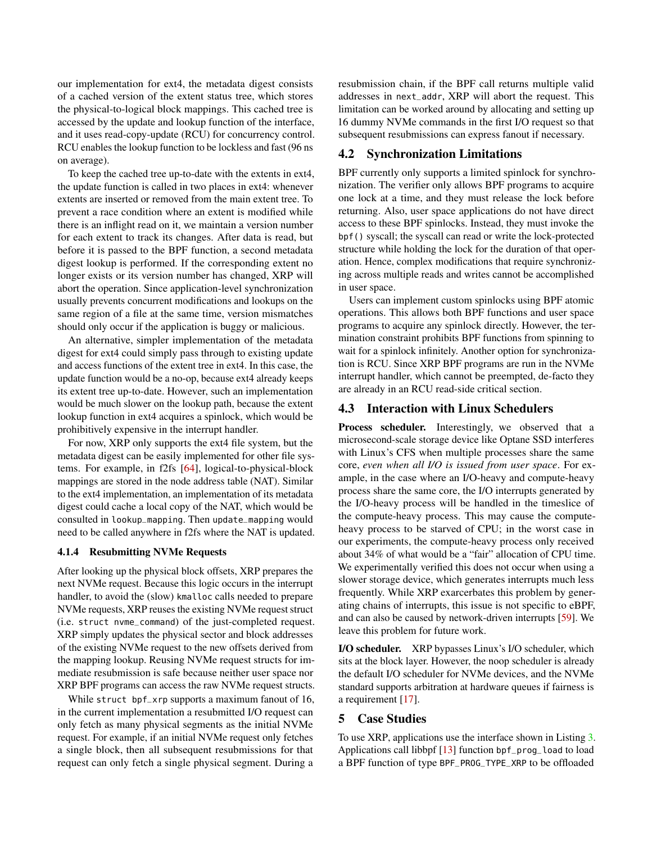our implementation for ext4, the metadata digest consists of a cached version of the extent status tree, which stores the physical-to-logical block mappings. This cached tree is accessed by the update and lookup function of the interface, and it uses read-copy-update (RCU) for concurrency control. RCU enables the lookup function to be lockless and fast (96 ns on average).

To keep the cached tree up-to-date with the extents in ext4, the update function is called in two places in ext4: whenever extents are inserted or removed from the main extent tree. To prevent a race condition where an extent is modified while there is an inflight read on it, we maintain a version number for each extent to track its changes. After data is read, but before it is passed to the BPF function, a second metadata digest lookup is performed. If the corresponding extent no longer exists or its version number has changed, XRP will abort the operation. Since application-level synchronization usually prevents concurrent modifications and lookups on the same region of a file at the same time, version mismatches should only occur if the application is buggy or malicious.

An alternative, simpler implementation of the metadata digest for ext4 could simply pass through to existing update and access functions of the extent tree in ext4. In this case, the update function would be a no-op, because ext4 already keeps its extent tree up-to-date. However, such an implementation would be much slower on the lookup path, because the extent lookup function in ext4 acquires a spinlock, which would be prohibitively expensive in the interrupt handler.

For now, XRP only supports the ext4 file system, but the metadata digest can be easily implemented for other file systems. For example, in f2fs [\[64\]](#page-15-8), logical-to-physical-block mappings are stored in the node address table (NAT). Similar to the ext4 implementation, an implementation of its metadata digest could cache a local copy of the NAT, which would be consulted in lookup\_mapping. Then update\_mapping would need to be called anywhere in f2fs where the NAT is updated.

#### 4.1.4 Resubmitting NVMe Requests

After looking up the physical block offsets, XRP prepares the next NVMe request. Because this logic occurs in the interrupt handler, to avoid the (slow) kmalloc calls needed to prepare NVMe requests, XRP reuses the existing NVMe request struct (i.e. struct nvme\_command) of the just-completed request. XRP simply updates the physical sector and block addresses of the existing NVMe request to the new offsets derived from the mapping lookup. Reusing NVMe request structs for immediate resubmission is safe because neither user space nor XRP BPF programs can access the raw NVMe request structs.

While struct bpf\_xrp supports a maximum fanout of 16, in the current implementation a resubmitted I/O request can only fetch as many physical segments as the initial NVMe request. For example, if an initial NVMe request only fetches a single block, then all subsequent resubmissions for that request can only fetch a single physical segment. During a

resubmission chain, if the BPF call returns multiple valid addresses in next\_addr, XRP will abort the request. This limitation can be worked around by allocating and setting up 16 dummy NVMe commands in the first I/O request so that subsequent resubmissions can express fanout if necessary.

### 4.2 Synchronization Limitations

BPF currently only supports a limited spinlock for synchronization. The verifier only allows BPF programs to acquire one lock at a time, and they must release the lock before returning. Also, user space applications do not have direct access to these BPF spinlocks. Instead, they must invoke the bpf() syscall; the syscall can read or write the lock-protected structure while holding the lock for the duration of that operation. Hence, complex modifications that require synchronizing across multiple reads and writes cannot be accomplished in user space.

Users can implement custom spinlocks using BPF atomic operations. This allows both BPF functions and user space programs to acquire any spinlock directly. However, the termination constraint prohibits BPF functions from spinning to wait for a spinlock infinitely. Another option for synchronization is RCU. Since XRP BPF programs are run in the NVMe interrupt handler, which cannot be preempted, de-facto they are already in an RCU read-side critical section.

### 4.3 Interaction with Linux Schedulers

Process scheduler. Interestingly, we observed that a microsecond-scale storage device like Optane SSD interferes with Linux's CFS when multiple processes share the same core, *even when all I/O is issued from user space*. For example, in the case where an I/O-heavy and compute-heavy process share the same core, the I/O interrupts generated by the I/O-heavy process will be handled in the timeslice of the compute-heavy process. This may cause the computeheavy process to be starved of CPU; in the worst case in our experiments, the compute-heavy process only received about 34% of what would be a "fair" allocation of CPU time. We experimentally verified this does not occur when using a slower storage device, which generates interrupts much less frequently. While XRP exarcerbates this problem by generating chains of interrupts, this issue is not specific to eBPF, and can also be caused by network-driven interrupts [\[59\]](#page-15-9). We leave this problem for future work.

I/O scheduler. XRP bypasses Linux's I/O scheduler, which sits at the block layer. However, the noop scheduler is already the default I/O scheduler for NVMe devices, and the NVMe standard supports arbitration at hardware queues if fairness is a requirement [\[17\]](#page-13-22).

## <span id="page-6-0"></span>5 Case Studies

To use XRP, applications use the interface shown in Listing [3.](#page-7-0) Applications call libbpf [\[13\]](#page-13-23) function bpf\_prog\_load to load a BPF function of type BPF\_PROG\_TYPE\_XRP to be offloaded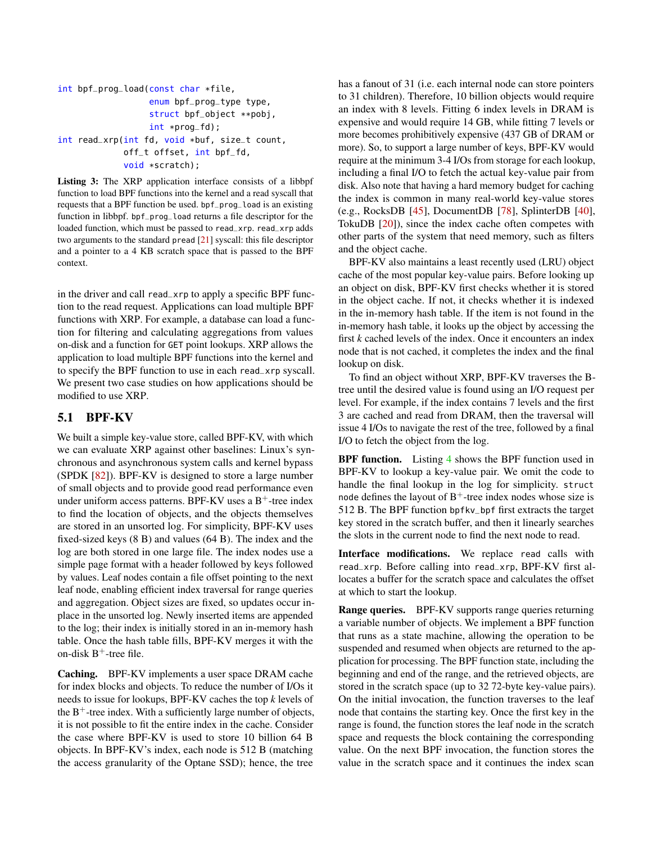<span id="page-7-0"></span>int bpf\_prog\_load(const char \*file, enum bpf\_prog\_type type, struct bpf\_object \*\*pobj, int \*prog\_fd); int read\_xrp(int fd, void \*buf, size\_t count, off\_t offset, int bpf\_fd, void \*scratch);

Listing 3: The XRP application interface consists of a libbpf function to load BPF functions into the kernel and a read syscall that requests that a BPF function be used. bpf\_prog\_load is an existing function in libbpf. bpf\_prog\_load returns a file descriptor for the loaded function, which must be passed to read\_xrp. read\_xrp adds two arguments to the standard pread [\[21\]](#page-13-24) syscall: this file descriptor and a pointer to a 4 KB scratch space that is passed to the BPF context.

in the driver and call read\_xrp to apply a specific BPF function to the read request. Applications can load multiple BPF functions with XRP. For example, a database can load a function for filtering and calculating aggregations from values on-disk and a function for GET point lookups. XRP allows the application to load multiple BPF functions into the kernel and to specify the BPF function to use in each read\_xrp syscall. We present two case studies on how applications should be modified to use XRP.

## 5.1 BPF-KV

We built a simple key-value store, called BPF-KV, with which we can evaluate XRP against other baselines: Linux's synchronous and asynchronous system calls and kernel bypass (SPDK [\[82\]](#page-16-0)). BPF-KV is designed to store a large number of small objects and to provide good read performance even under uniform access patterns. BPF-KV uses a  $B^+$ -tree index to find the location of objects, and the objects themselves are stored in an unsorted log. For simplicity, BPF-KV uses fixed-sized keys (8 B) and values (64 B). The index and the log are both stored in one large file. The index nodes use a simple page format with a header followed by keys followed by values. Leaf nodes contain a file offset pointing to the next leaf node, enabling efficient index traversal for range queries and aggregation. Object sizes are fixed, so updates occur inplace in the unsorted log. Newly inserted items are appended to the log; their index is initially stored in an in-memory hash table. Once the hash table fills, BPF-KV merges it with the on-disk  $B^+$ -tree file.

Caching. BPF-KV implements a user space DRAM cache for index blocks and objects. To reduce the number of I/Os it needs to issue for lookups, BPF-KV caches the top *k* levels of the  $B^+$ -tree index. With a sufficiently large number of objects, it is not possible to fit the entire index in the cache. Consider the case where BPF-KV is used to store 10 billion 64 B objects. In BPF-KV's index, each node is 512 B (matching the access granularity of the Optane SSD); hence, the tree

has a fanout of 31 (i.e. each internal node can store pointers to 31 children). Therefore, 10 billion objects would require an index with 8 levels. Fitting 6 index levels in DRAM is expensive and would require 14 GB, while fitting 7 levels or more becomes prohibitively expensive (437 GB of DRAM or more). So, to support a large number of keys, BPF-KV would require at the minimum 3-4 I/Os from storage for each lookup, including a final I/O to fetch the actual key-value pair from disk. Also note that having a hard memory budget for caching the index is common in many real-world key-value stores (e.g., RocksDB [\[45\]](#page-14-5), DocumentDB [\[78\]](#page-16-7), SplinterDB [\[40\]](#page-14-6), TokuDB [\[20\]](#page-13-8)), since the index cache often competes with other parts of the system that need memory, such as filters and the object cache.

BPF-KV also maintains a least recently used (LRU) object cache of the most popular key-value pairs. Before looking up an object on disk, BPF-KV first checks whether it is stored in the object cache. If not, it checks whether it is indexed in the in-memory hash table. If the item is not found in the in-memory hash table, it looks up the object by accessing the first *k* cached levels of the index. Once it encounters an index node that is not cached, it completes the index and the final lookup on disk.

To find an object without XRP, BPF-KV traverses the Btree until the desired value is found using an I/O request per level. For example, if the index contains 7 levels and the first 3 are cached and read from DRAM, then the traversal will issue 4 I/Os to navigate the rest of the tree, followed by a final I/O to fetch the object from the log.

BPF function. Listing [4](#page-8-0) shows the BPF function used in BPF-KV to lookup a key-value pair. We omit the code to handle the final lookup in the log for simplicity. struct node defines the layout of  $B<sup>+</sup>$ -tree index nodes whose size is 512 B. The BPF function bpfkv\_bpf first extracts the target key stored in the scratch buffer, and then it linearly searches the slots in the current node to find the next node to read.

Interface modifications. We replace read calls with read\_xrp. Before calling into read\_xrp, BPF-KV first allocates a buffer for the scratch space and calculates the offset at which to start the lookup.

Range queries. BPF-KV supports range queries returning a variable number of objects. We implement a BPF function that runs as a state machine, allowing the operation to be suspended and resumed when objects are returned to the application for processing. The BPF function state, including the beginning and end of the range, and the retrieved objects, are stored in the scratch space (up to 32 72-byte key-value pairs). On the initial invocation, the function traverses to the leaf node that contains the starting key. Once the first key in the range is found, the function stores the leaf node in the scratch space and requests the block containing the corresponding value. On the next BPF invocation, the function stores the value in the scratch space and it continues the index scan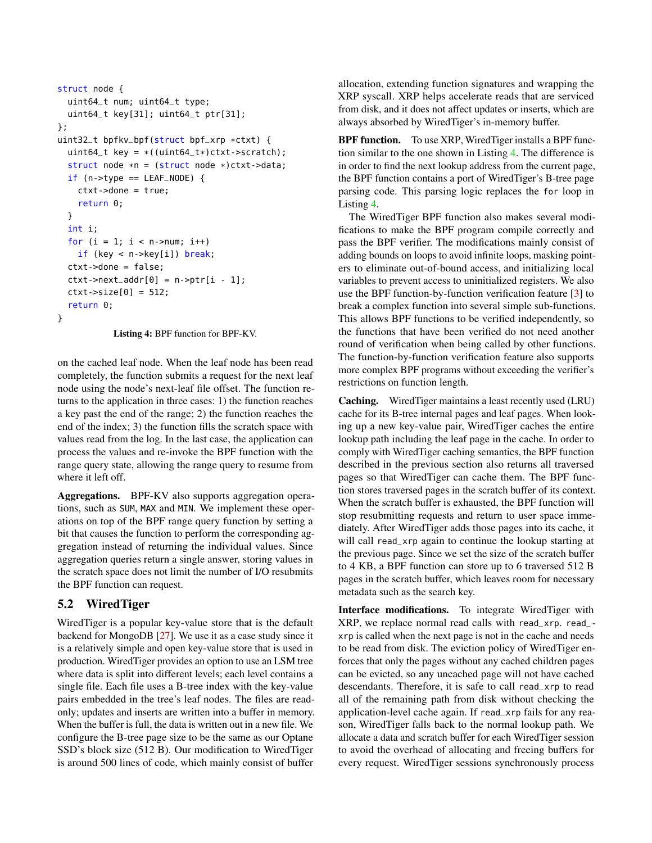```
struct node {
  uint64_t num; uint64_t type;
  uint64_t key[31]; uint64_t ptr[31];
};
uint32_t bpfkv_bpf(struct bpf_xrp *ctxt) {
  uint64_t key = *((uint64_t*)ctxt - scratch);struct node *n = (struct node *)ctxt->data;
  if (n->type == LEAF_NODE) {
    ctxt->done = true;
    return 0;
  }
  int i;
  for (i = 1; i < n->num; i++)if (key < n->key[i]) break;
  ctxt->done = false;
  ctxt=\nvert \text{data}[\emptyset] = n-\nvert \text{true}ctxt - >size[0] = 512;return 0;
}
```
Listing 4: BPF function for BPF-KV.

on the cached leaf node. When the leaf node has been read completely, the function submits a request for the next leaf node using the node's next-leaf file offset. The function returns to the application in three cases: 1) the function reaches a key past the end of the range; 2) the function reaches the end of the index; 3) the function fills the scratch space with values read from the log. In the last case, the application can process the values and re-invoke the BPF function with the range query state, allowing the range query to resume from where it left off.

Aggregations. BPF-KV also supports aggregation operations, such as SUM, MAX and MIN. We implement these operations on top of the BPF range query function by setting a bit that causes the function to perform the corresponding aggregation instead of returning the individual values. Since aggregation queries return a single answer, storing values in the scratch space does not limit the number of I/O resubmits the BPF function can request.

## 5.2 WiredTiger

WiredTiger is a popular key-value store that is the default backend for MongoDB [\[27\]](#page-13-9). We use it as a case study since it is a relatively simple and open key-value store that is used in production. WiredTiger provides an option to use an LSM tree where data is split into different levels; each level contains a single file. Each file uses a B-tree index with the key-value pairs embedded in the tree's leaf nodes. The files are readonly; updates and inserts are written into a buffer in memory. When the buffer is full, the data is written out in a new file. We configure the B-tree page size to be the same as our Optane SSD's block size (512 B). Our modification to WiredTiger is around 500 lines of code, which mainly consist of buffer

allocation, extending function signatures and wrapping the XRP syscall. XRP helps accelerate reads that are serviced from disk, and it does not affect updates or inserts, which are always absorbed by WiredTiger's in-memory buffer.

BPF function. To use XRP, WiredTiger installs a BPF function similar to the one shown in Listing [4.](#page-8-0) The difference is in order to find the next lookup address from the current page, the BPF function contains a port of WiredTiger's B-tree page parsing code. This parsing logic replaces the for loop in Listing [4.](#page-8-0)

The WiredTiger BPF function also makes several modifications to make the BPF program compile correctly and pass the BPF verifier. The modifications mainly consist of adding bounds on loops to avoid infinite loops, masking pointers to eliminate out-of-bound access, and initializing local variables to prevent access to uninitialized registers. We also use the BPF function-by-function verification feature [\[3\]](#page-13-25) to break a complex function into several simple sub-functions. This allows BPF functions to be verified independently, so the functions that have been verified do not need another round of verification when being called by other functions. The function-by-function verification feature also supports more complex BPF programs without exceeding the verifier's restrictions on function length.

Caching. WiredTiger maintains a least recently used (LRU) cache for its B-tree internal pages and leaf pages. When looking up a new key-value pair, WiredTiger caches the entire lookup path including the leaf page in the cache. In order to comply with WiredTiger caching semantics, the BPF function described in the previous section also returns all traversed pages so that WiredTiger can cache them. The BPF function stores traversed pages in the scratch buffer of its context. When the scratch buffer is exhausted, the BPF function will stop resubmitting requests and return to user space immediately. After WiredTiger adds those pages into its cache, it will call read\_xrp again to continue the lookup starting at the previous page. Since we set the size of the scratch buffer to 4 KB, a BPF function can store up to 6 traversed 512 B pages in the scratch buffer, which leaves room for necessary metadata such as the search key.

Interface modifications. To integrate WiredTiger with XRP, we replace normal read calls with read\_xrp. read\_ xrp is called when the next page is not in the cache and needs to be read from disk. The eviction policy of WiredTiger enforces that only the pages without any cached children pages can be evicted, so any uncached page will not have cached descendants. Therefore, it is safe to call read\_xrp to read all of the remaining path from disk without checking the application-level cache again. If read\_xrp fails for any reason, WiredTiger falls back to the normal lookup path. We allocate a data and scratch buffer for each WiredTiger session to avoid the overhead of allocating and freeing buffers for every request. WiredTiger sessions synchronously process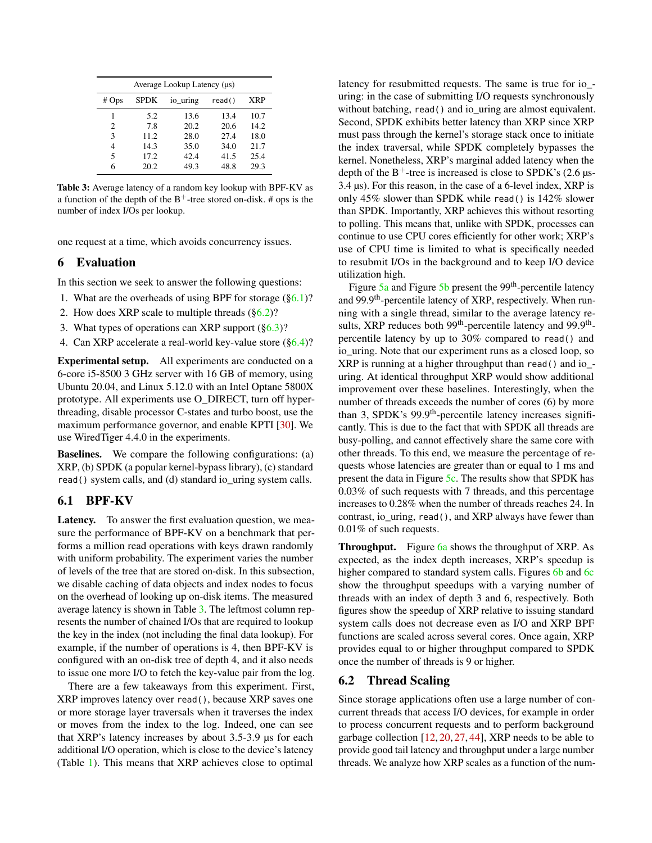<span id="page-9-3"></span>

| Average Lookup Latency ( $\mu$ s) |             |          |        |            |  |  |
|-----------------------------------|-------------|----------|--------|------------|--|--|
| $# \text{Ops}$                    | <b>SPDK</b> | io_uring | read() | <b>XRP</b> |  |  |
| 1                                 | 5.2         | 13.6     | 13.4   | 10.7       |  |  |
| 2                                 | 7.8         | 20.2     | 20.6   | 14.2       |  |  |
| 3                                 | 11.2        | 28.0     | 27.4   | 18.0       |  |  |
| 4                                 | 14.3        | 35.0     | 34.0   | 21.7       |  |  |
| 5                                 | 17.2        | 42.4     | 41.5   | 25.4       |  |  |
| 6                                 | 20.2        | 49.3     | 48.8   | 29.3       |  |  |

Table 3: Average latency of a random key lookup with BPF-KV as a function of the depth of the  $B^+$ -tree stored on-disk. # ops is the number of index I/Os per lookup.

one request at a time, which avoids concurrency issues.

### <span id="page-9-0"></span>6 Evaluation

In this section we seek to answer the following questions:

- 1. What are the overheads of using BPF for storage  $(\S6.1)$ ?
- 2. How does XRP scale to multiple threads  $(\S6.2)$ ?
- 3. What types of operations can XRP support  $(\S6.3)$ ?
- 4. Can XRP accelerate a real-world key-value store ([§6.4\)](#page-10-1)?

Experimental setup. All experiments are conducted on a 6-core i5-8500 3 GHz server with 16 GB of memory, using Ubuntu 20.04, and Linux 5.12.0 with an Intel Optane 5800X prototype. All experiments use O\_DIRECT, turn off hyperthreading, disable processor C-states and turbo boost, use the maximum performance governor, and enable KPTI [\[30\]](#page-13-10). We use WiredTiger 4.4.0 in the experiments.

Baselines. We compare the following configurations: (a) XRP, (b) SPDK (a popular kernel-bypass library), (c) standard read() system calls, and (d) standard io\_uring system calls.

### <span id="page-9-2"></span>6.1 BPF-KV

Latency. To answer the first evaluation question, we measure the performance of BPF-KV on a benchmark that performs a million read operations with keys drawn randomly with uniform probability. The experiment varies the number of levels of the tree that are stored on-disk. In this subsection, we disable caching of data objects and index nodes to focus on the overhead of looking up on-disk items. The measured average latency is shown in Table [3.](#page-9-3) The leftmost column represents the number of chained I/Os that are required to lookup the key in the index (not including the final data lookup). For example, if the number of operations is 4, then BPF-KV is configured with an on-disk tree of depth 4, and it also needs to issue one more I/O to fetch the key-value pair from the log.

There are a few takeaways from this experiment. First, XRP improves latency over read(), because XRP saves one or more storage layer traversals when it traverses the index or moves from the index to the log. Indeed, one can see that XRP's latency increases by about 3.5-3.9 µs for each additional I/O operation, which is close to the device's latency (Table [1\)](#page-1-2). This means that XRP achieves close to optimal

latency for resubmitted requests. The same is true for io\_ uring: in the case of submitting I/O requests synchronously without batching, read() and io uring are almost equivalent. Second, SPDK exhibits better latency than XRP since XRP must pass through the kernel's storage stack once to initiate the index traversal, while SPDK completely bypasses the kernel. Nonetheless, XRP's marginal added latency when the depth of the  $B^+$ -tree is increased is close to SPDK's (2.6  $\mu$ s-3.4 µs). For this reason, in the case of a 6-level index, XRP is only 45% slower than SPDK while read() is 142% slower than SPDK. Importantly, XRP achieves this without resorting to polling. This means that, unlike with SPDK, processes can continue to use CPU cores efficiently for other work; XRP's use of CPU time is limited to what is specifically needed to resubmit I/Os in the background and to keep I/O device utilization high.

Figure  $5a$  and Figure  $5b$  present the 99<sup>th</sup>-percentile latency and 99.9th-percentile latency of XRP, respectively. When running with a single thread, similar to the average latency results, XRP reduces both 99<sup>th</sup>-percentile latency and 99.9<sup>th</sup>percentile latency by up to 30% compared to read() and io\_uring. Note that our experiment runs as a closed loop, so XRP is running at a higher throughput than read() and io\_ uring. At identical throughput XRP would show additional improvement over these baselines. Interestingly, when the number of threads exceeds the number of cores (6) by more than 3, SPDK's 99.9<sup>th</sup>-percentile latency increases significantly. This is due to the fact that with SPDK all threads are busy-polling, and cannot effectively share the same core with other threads. To this end, we measure the percentage of requests whose latencies are greater than or equal to 1 ms and present the data in Figure [5c.](#page-10-2) The results show that SPDK has 0.03% of such requests with 7 threads, and this percentage increases to 0.28% when the number of threads reaches 24. In contrast, io\_uring, read(), and XRP always have fewer than 0.01% of such requests.

**Throughput.** Figure [6a](#page-10-3) shows the throughput of XRP. As expected, as the index depth increases, XRP's speedup is higher compared to standard system calls. Figures [6b](#page-10-3) and [6c](#page-10-3) show the throughput speedups with a varying number of threads with an index of depth 3 and 6, respectively. Both figures show the speedup of XRP relative to issuing standard system calls does not decrease even as I/O and XRP BPF functions are scaled across several cores. Once again, XRP provides equal to or higher throughput compared to SPDK once the number of threads is 9 or higher.

### <span id="page-9-1"></span>6.2 Thread Scaling

Since storage applications often use a large number of concurrent threads that access I/O devices, for example in order to process concurrent requests and to perform background garbage collection [\[12,](#page-13-7) [20,](#page-13-8) [27,](#page-13-9) [44\]](#page-14-0), XRP needs to be able to provide good tail latency and throughput under a large number threads. We analyze how XRP scales as a function of the num-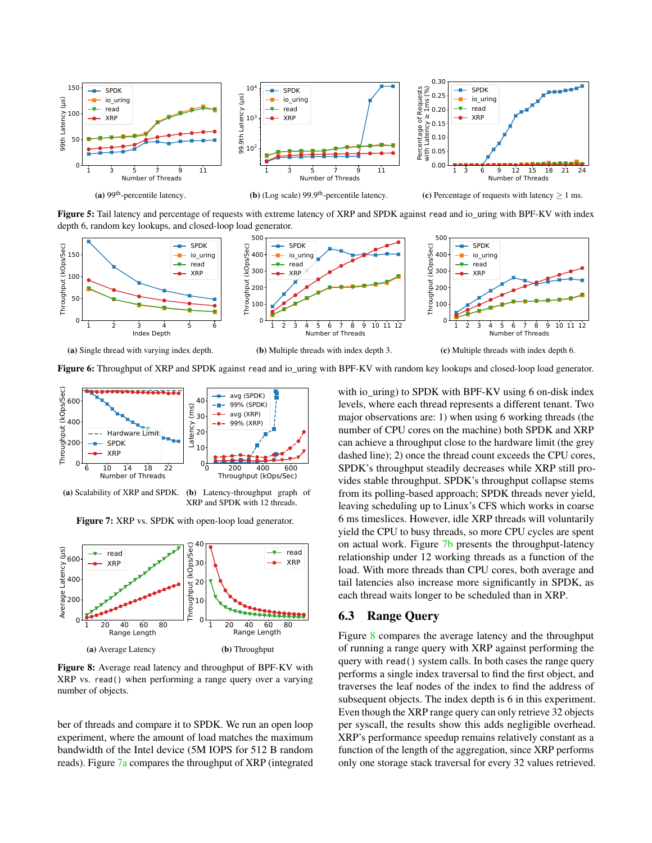<span id="page-10-2"></span>

Figure 5: Tail latency and percentage of requests with extreme latency of XRP and SPDK against read and io\_uring with BPF-KV with index depth 6, random key lookups, and closed-loop load generator.

<span id="page-10-3"></span>

Figure 6: Throughput of XRP and SPDK against read and io\_uring with BPF-KV with random key lookups and closed-loop load generator.

<span id="page-10-4"></span>

(a) Scalability of XRP and SPDK. (b) Latency-throughput graph of XRP and SPDK with 12 threads.

Figure 7: XRP vs. SPDK with open-loop load generator.

<span id="page-10-5"></span>

Figure 8: Average read latency and throughput of BPF-KV with XRP vs. read() when performing a range query over a varying number of objects.

ber of threads and compare it to SPDK. We run an open loop experiment, where the amount of load matches the maximum bandwidth of the Intel device (5M IOPS for 512 B random reads). Figure [7a](#page-10-4) compares the throughput of XRP (integrated

with io\_uring) to SPDK with BPF-KV using 6 on-disk index levels, where each thread represents a different tenant. Two major observations are: 1) when using 6 working threads (the number of CPU cores on the machine) both SPDK and XRP can achieve a throughput close to the hardware limit (the grey dashed line); 2) once the thread count exceeds the CPU cores, SPDK's throughput steadily decreases while XRP still provides stable throughput. SPDK's throughput collapse stems from its polling-based approach; SPDK threads never yield, leaving scheduling up to Linux's CFS which works in coarse 6 ms timeslices. However, idle XRP threads will voluntarily yield the CPU to busy threads, so more CPU cycles are spent on actual work. Figure [7b](#page-10-4) presents the throughput-latency relationship under 12 working threads as a function of the load. With more threads than CPU cores, both average and tail latencies also increase more significantly in SPDK, as each thread waits longer to be scheduled than in XRP.

## <span id="page-10-0"></span>6.3 Range Query

<span id="page-10-1"></span>Figure [8](#page-10-5) compares the average latency and the throughput of running a range query with XRP against performing the query with read() system calls. In both cases the range query performs a single index traversal to find the first object, and traverses the leaf nodes of the index to find the address of subsequent objects. The index depth is 6 in this experiment. Even though the XRP range query can only retrieve 32 objects per syscall, the results show this adds negligible overhead. XRP's performance speedup remains relatively constant as a function of the length of the aggregation, since XRP performs only one storage stack traversal for every 32 values retrieved.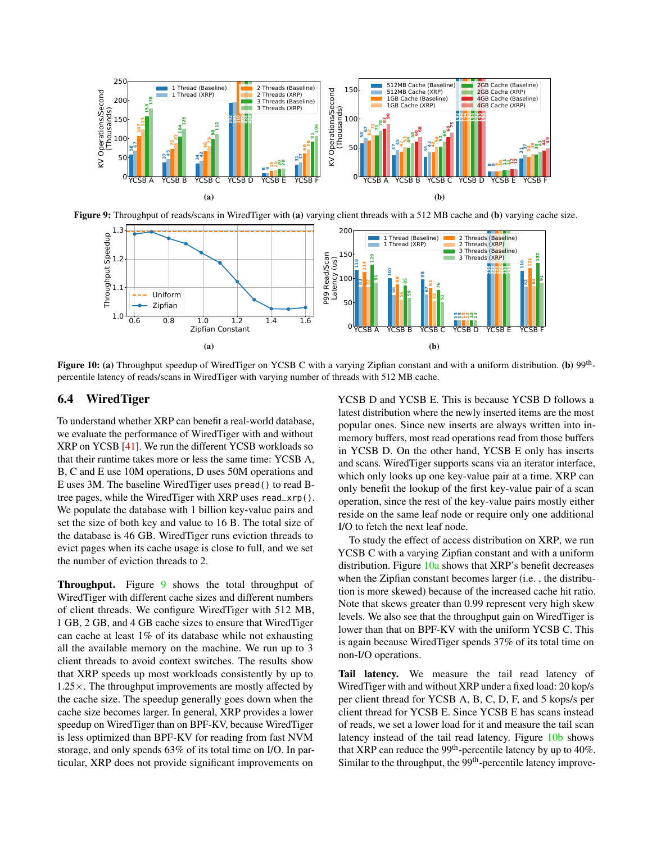<span id="page-11-0"></span>

<span id="page-11-1"></span>Figure 9: Throughput of reads/scans in WiredTiger with (a) varying client threads with a 512 MB cache and (b) varying cache size.



Figure 10: (a) Throughput speedup of WiredTiger on YCSB C with a varying Zipfian constant and with a uniform distribution. (b) 99<sup>th</sup>percentile latency of reads/scans in WiredTiger with varying number of threads with 512 MB cache.

### 6.4 WiredTiger

To understand whether XRP can benefit a real-world database, we evaluate the performance of WiredTiger with and without XRP on YCSB [\[41\]](#page-14-1). We run the different YCSB workloads so that their runtime takes more or less the same time: YCSB A, B, C and E use 10M operations, D uses 50M operations and E uses 3M. The baseline WiredTiger uses pread() to read Btree pages, while the WiredTiger with XRP uses read\_xrp(). We populate the database with 1 billion key-value pairs and set the size of both key and value to 16 B. The total size of the database is 46 GB. WiredTiger runs eviction threads to evict pages when its cache usage is close to full, and we set the number of eviction threads to 2.

Throughput. Figure [9](#page-11-0) shows the total throughput of WiredTiger with different cache sizes and different numbers of client threads. We configure WiredTiger with 512 MB, 1 GB, 2 GB, and 4 GB cache sizes to ensure that WiredTiger can cache at least 1% of its database while not exhausting all the available memory on the machine. We run up to 3 client threads to avoid context switches. The results show that XRP speeds up most workloads consistently by up to 1.25×. The throughput improvements are mostly affected by the cache size. The speedup generally goes down when the cache size becomes larger. In general, XRP provides a lower speedup on WiredTiger than on BPF-KV, because WiredTiger is less optimized than BPF-KV for reading from fast NVM storage, and only spends 63% of its total time on I/O. In particular, XRP does not provide significant improvements on

YCSB D and YCSB E. This is because YCSB D follows a latest distribution where the newly inserted items are the most popular ones. Since new inserts are always written into inmemory buffers, most read operations read from those buffers in YCSB D. On the other hand, YCSB E only has inserts and scans. WiredTiger supports scans via an iterator interface, which only looks up one key-value pair at a time. XRP can only benefit the lookup of the first key-value pair of a scan operation, since the rest of the key-value pairs mostly either reside on the same leaf node or require only one additional I/O to fetch the next leaf node.

To study the effect of access distribution on XRP, we run YCSB C with a varying Zipfian constant and with a uniform distribution. Figure [10a](#page-11-1) shows that XRP's benefit decreases when the Zipfian constant becomes larger (i.e. , the distribution is more skewed) because of the increased cache hit ratio. Note that skews greater than 0.99 represent very high skew levels. We also see that the throughput gain on WiredTiger is lower than that on BPF-KV with the uniform YCSB C. This is again because WiredTiger spends 37% of its total time on non-I/O operations.

Tail latency. We measure the tail read latency of WiredTiger with and without XRP under a fixed load: 20 kop/s per client thread for YCSB A, B, C, D, F, and 5 kops/s per client thread for YCSB E. Since YCSB E has scans instead of reads, we set a lower load for it and measure the tail scan latency instead of the tail read latency. Figure [10b](#page-11-1) shows that XRP can reduce the 99<sup>th</sup>-percentile latency by up to 40%. Similar to the throughput, the  $99<sup>th</sup>$ -percentile latency improve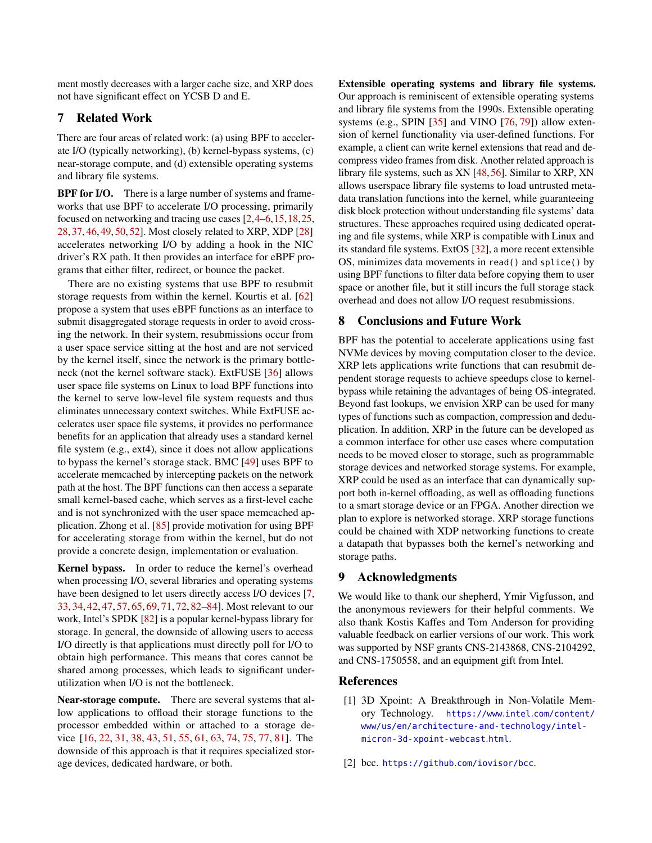ment mostly decreases with a larger cache size, and XRP does not have significant effect on YCSB D and E.

### 7 Related Work

There are four areas of related work: (a) using BPF to accelerate I/O (typically networking), (b) kernel-bypass systems, (c) near-storage compute, and (d) extensible operating systems and library file systems.

**BPF for I/O.** There is a large number of systems and frameworks that use BPF to accelerate I/O processing, primarily focused on networking and tracing use cases [\[2](#page-12-1)[,4](#page-13-17)[–6,](#page-13-14)[15,](#page-13-18)[18,](#page-13-15)[25,](#page-13-16) [28,](#page-13-5) [37,](#page-14-7) [46,](#page-14-3) [49,](#page-14-8) [50,](#page-14-2) [52\]](#page-15-4). Most closely related to XRP, XDP [\[28\]](#page-13-5) accelerates networking I/O by adding a hook in the NIC driver's RX path. It then provides an interface for eBPF programs that either filter, redirect, or bounce the packet.

There are no existing systems that use BPF to resubmit storage requests from within the kernel. Kourtis et al. [\[62\]](#page-15-10) propose a system that uses eBPF functions as an interface to submit disaggregated storage requests in order to avoid crossing the network. In their system, resubmissions occur from a user space service sitting at the host and are not serviced by the kernel itself, since the network is the primary bottleneck (not the kernel software stack). ExtFUSE [\[36\]](#page-14-9) allows user space file systems on Linux to load BPF functions into the kernel to serve low-level file system requests and thus eliminates unnecessary context switches. While ExtFUSE accelerates user space file systems, it provides no performance benefits for an application that already uses a standard kernel file system (e.g., ext4), since it does not allow applications to bypass the kernel's storage stack. BMC [\[49\]](#page-14-8) uses BPF to accelerate memcached by intercepting packets on the network path at the host. The BPF functions can then access a separate small kernel-based cache, which serves as a first-level cache and is not synchronized with the user space memcached application. Zhong et al. [\[85\]](#page-17-0) provide motivation for using BPF for accelerating storage from within the kernel, but do not provide a concrete design, implementation or evaluation.

Kernel bypass. In order to reduce the kernel's overhead when processing I/O, several libraries and operating systems have been designed to let users directly access I/O devices [\[7,](#page-13-11) [33,](#page-13-26) [34,](#page-13-27) [42,](#page-14-10) [47,](#page-14-11) [57,](#page-15-11) [65,](#page-15-3) [69,](#page-16-8) [71,](#page-16-9) [72,](#page-16-10) [82](#page-16-0)[–84\]](#page-16-11). Most relevant to our work, Intel's SPDK [\[82\]](#page-16-0) is a popular kernel-bypass library for storage. In general, the downside of allowing users to access I/O directly is that applications must directly poll for I/O to obtain high performance. This means that cores cannot be shared among processes, which leads to significant underutilization when I/O is not the bottleneck.

Near-storage compute. There are several systems that allow applications to offload their storage functions to the processor embedded within or attached to a storage device [\[16,](#page-13-28) [22,](#page-13-29) [31,](#page-13-30) [38,](#page-14-12) [43,](#page-14-13) [51,](#page-14-14) [55,](#page-15-12) [61,](#page-15-13) [63,](#page-15-14) [74,](#page-16-6) [75,](#page-16-12) [77,](#page-16-13) [81\]](#page-16-14). The downside of this approach is that it requires specialized storage devices, dedicated hardware, or both.

Extensible operating systems and library file systems. Our approach is reminiscent of extensible operating systems and library file systems from the 1990s. Extensible operating systems (e.g., SPIN [\[35\]](#page-14-15) and VINO [\[76,](#page-16-15) [79\]](#page-16-16)) allow extension of kernel functionality via user-defined functions. For example, a client can write kernel extensions that read and decompress video frames from disk. Another related approach is library file systems, such as XN [\[48,](#page-14-16)[56\]](#page-15-15). Similar to XRP, XN allows userspace library file systems to load untrusted metadata translation functions into the kernel, while guaranteeing disk block protection without understanding file systems' data structures. These approaches required using dedicated operating and file systems, while XRP is compatible with Linux and its standard file systems. ExtOS [\[32\]](#page-13-31), a more recent extensible OS, minimizes data movements in read() and splice() by using BPF functions to filter data before copying them to user space or another file, but it still incurs the full storage stack overhead and does not allow I/O request resubmissions.

### 8 Conclusions and Future Work

BPF has the potential to accelerate applications using fast NVMe devices by moving computation closer to the device. XRP lets applications write functions that can resubmit dependent storage requests to achieve speedups close to kernelbypass while retaining the advantages of being OS-integrated. Beyond fast lookups, we envision XRP can be used for many types of functions such as compaction, compression and deduplication. In addition, XRP in the future can be developed as a common interface for other use cases where computation needs to be moved closer to storage, such as programmable storage devices and networked storage systems. For example, XRP could be used as an interface that can dynamically support both in-kernel offloading, as well as offloading functions to a smart storage device or an FPGA. Another direction we plan to explore is networked storage. XRP storage functions could be chained with XDP networking functions to create a datapath that bypasses both the kernel's networking and storage paths.

### 9 Acknowledgments

We would like to thank our shepherd, Ymir Vigfusson, and the anonymous reviewers for their helpful comments. We also thank Kostis Kaffes and Tom Anderson for providing valuable feedback on earlier versions of our work. This work was supported by NSF grants CNS-2143868, CNS-2104292, and CNS-1750558, and an equipment gift from Intel.

### References

- <span id="page-12-0"></span>[1] 3D Xpoint: A Breakthrough in Non-Volatile Memory Technology. https://www.intel.[com/content/](https://www.intel.com/content/www/us/en/architecture-and-technology/intel-micron-3d-xpoint-webcast.html) [www/us/en/architecture-and-technology/intel](https://www.intel.com/content/www/us/en/architecture-and-technology/intel-micron-3d-xpoint-webcast.html)[micron-3d-xpoint-webcast](https://www.intel.com/content/www/us/en/architecture-and-technology/intel-micron-3d-xpoint-webcast.html).html.
- <span id="page-12-1"></span>[2] bcc. https://github.[com/iovisor/bcc](https://github.com/iovisor/bcc).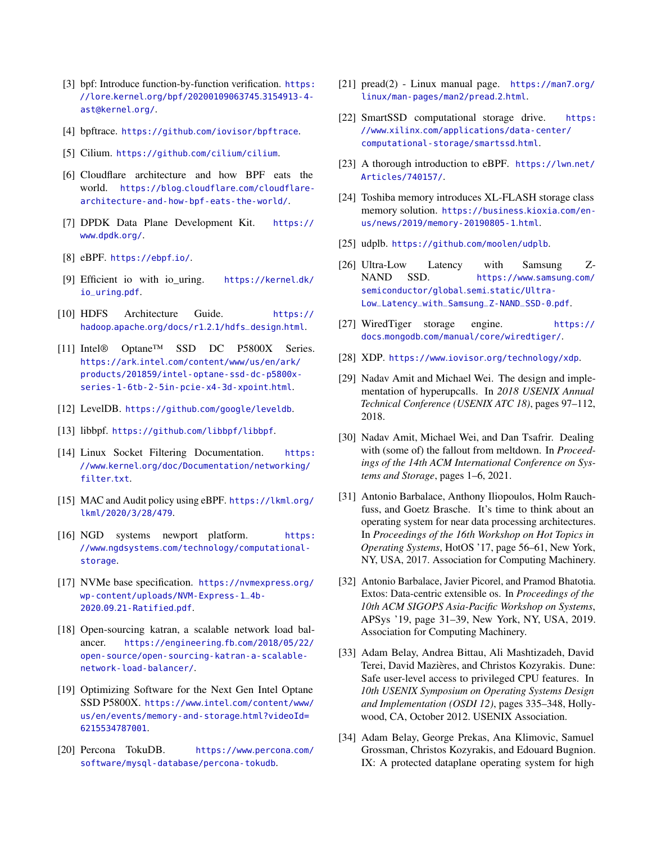- <span id="page-13-25"></span>[3] bpf: Introduce function-by-function verification. [https:](https://lore.kernel.org/bpf/20200109063745.3154913-4-ast@kernel.org/) //lore.kernel.[org/bpf/20200109063745](https://lore.kernel.org/bpf/20200109063745.3154913-4-ast@kernel.org/).3154913-4 [ast@kernel](https://lore.kernel.org/bpf/20200109063745.3154913-4-ast@kernel.org/).org/.
- <span id="page-13-17"></span>[4] bpftrace. https://github.[com/iovisor/bpftrace](https://github.com/iovisor/bpftrace).
- <span id="page-13-13"></span>[5] Cilium. https://github.[com/cilium/cilium](https://github.com/cilium/cilium).
- <span id="page-13-14"></span>[6] Cloudflare architecture and how BPF eats the world. https://blog.cloudflare.[com/cloudflare](https://blog.cloudflare.com/cloudflare-architecture-and-how-bpf-eats-the-world/)[architecture-and-how-bpf-eats-the-world/](https://blog.cloudflare.com/cloudflare-architecture-and-how-bpf-eats-the-world/).
- <span id="page-13-11"></span>[7] DPDK Data Plane Development Kit. [https://](https://www.dpdk.org/) www.[dpdk](https://www.dpdk.org/).org/.
- <span id="page-13-4"></span>[8] eBPF. [https://ebpf](https://ebpf.io/).io/.
- <span id="page-13-20"></span>[9] Efficient io with io\_uring. [https://kernel](https://kernel.dk/io_uring.pdf).dk/ [io\\_uring](https://kernel.dk/io_uring.pdf).pdf.
- <span id="page-13-6"></span>[10] HDFS Architecture Guide. [https://](https://hadoop.apache.org/docs/r1.2.1/hdfs_design.html) hadoop.apache.org/docs/r1.2.[1/hdfs\\_design](https://hadoop.apache.org/docs/r1.2.1/hdfs_design.html).html.
- <span id="page-13-0"></span>[11] Intel® Optane™ SSD DC P5800X Series. https://ark.intel.[com/content/www/us/en/ark/](https://ark.intel.com/content/www/us/en/ark/products/201859/intel-optane-ssd-dc-p5800x-series-1-6tb-2-5in-pcie-x4-3d-xpoint.html) [products/201859/intel-optane-ssd-dc-p5800x](https://ark.intel.com/content/www/us/en/ark/products/201859/intel-optane-ssd-dc-p5800x-series-1-6tb-2-5in-pcie-x4-3d-xpoint.html)[series-1-6tb-2-5in-pcie-x4-3d-xpoint](https://ark.intel.com/content/www/us/en/ark/products/201859/intel-optane-ssd-dc-p5800x-series-1-6tb-2-5in-pcie-x4-3d-xpoint.html).html.
- <span id="page-13-7"></span>[12] LevelDB. https://github.[com/google/leveldb](https://github.com/google/leveldb).
- <span id="page-13-23"></span>[13] libbpf. https://github.[com/libbpf/libbpf](https://github.com/libbpf/libbpf).
- <span id="page-13-21"></span>[14] Linux Socket Filtering Documentation. [https:](https://www.kernel.org/doc/Documentation/networking/filter.txt) //www.kernel.[org/doc/Documentation/networking/](https://www.kernel.org/doc/Documentation/networking/filter.txt) [filter](https://www.kernel.org/doc/Documentation/networking/filter.txt).txt.
- <span id="page-13-18"></span>[15] MAC and Audit policy using eBPF. [https://lkml](https://lkml.org/lkml/2020/3/28/479).org/ [lkml/2020/3/28/479](https://lkml.org/lkml/2020/3/28/479).
- <span id="page-13-28"></span>[16] NGD systems newport platform. [https:](https://www.ngdsystems.com/technology/computational-storage) //www.ngdsystems.[com/technology/computational](https://www.ngdsystems.com/technology/computational-storage)[storage](https://www.ngdsystems.com/technology/computational-storage).
- <span id="page-13-22"></span>[17] NVMe base specification. [https://nvmexpress](https://nvmexpress.org/wp-content/uploads/NVM-Express-1_4b-2020.09.21-Ratified.pdf).org/ [wp-content/uploads/NVM-Express-1\\_4b-](https://nvmexpress.org/wp-content/uploads/NVM-Express-1_4b-2020.09.21-Ratified.pdf)2020.09.[21-Ratified](https://nvmexpress.org/wp-content/uploads/NVM-Express-1_4b-2020.09.21-Ratified.pdf).pdf.
- <span id="page-13-15"></span>[18] Open-sourcing katran, a scalable network load balancer. [https://engineering](https://engineering.fb.com/2018/05/22/open-source/open-sourcing-katran-a-scalable-network-load-balancer/).fb.com/2018/05/22/ [open-source/open-sourcing-katran-a-scalable](https://engineering.fb.com/2018/05/22/open-source/open-sourcing-katran-a-scalable-network-load-balancer/)[network-load-balancer/](https://engineering.fb.com/2018/05/22/open-source/open-sourcing-katran-a-scalable-network-load-balancer/).
- <span id="page-13-1"></span>[19] Optimizing Software for the Next Gen Intel Optane SSD P5800X. https://www.intel.[com/content/www/](https://www.intel.com/content/www/us/en/events/memory-and-storage.html?videoId=6215534787001) [us/en/events/memory-and-storage](https://www.intel.com/content/www/us/en/events/memory-and-storage.html?videoId=6215534787001).html?videoId= [6215534787001](https://www.intel.com/content/www/us/en/events/memory-and-storage.html?videoId=6215534787001).
- <span id="page-13-8"></span>[20] Percona TokuDB. [https://www](https://www.percona.com/software/mysql-database/percona-tokudb).percona.com/ [software/mysql-database/percona-tokudb](https://www.percona.com/software/mysql-database/percona-tokudb).
- <span id="page-13-24"></span>[21] pread(2) - Linux manual page. [https://man7](https://man7.org/linux/man-pages/man2/pread.2.html).org/ [linux/man-pages/man2/pread](https://man7.org/linux/man-pages/man2/pread.2.html).2.html.
- <span id="page-13-29"></span>[22] SmartSSD computational storage drive. [https:](https://www.xilinx.com/applications/data-center/computational-storage/smartssd.html) //www.xilinx.[com/applications/data-center/](https://www.xilinx.com/applications/data-center/computational-storage/smartssd.html) [computational-storage/smartssd](https://www.xilinx.com/applications/data-center/computational-storage/smartssd.html).html.
- <span id="page-13-12"></span>[23] A thorough introduction to eBPF. [https://lwn](https://lwn.net/Articles/740157/).net/ [Articles/740157/](https://lwn.net/Articles/740157/).
- <span id="page-13-2"></span>[24] Toshiba memory introduces XL-FLASH storage class memory solution. [https://business](https://business.kioxia.com/en-us/news/2019/memory-20190805-1.html).kioxia.com/en[us/news/2019/memory-20190805-1](https://business.kioxia.com/en-us/news/2019/memory-20190805-1.html).html.
- <span id="page-13-16"></span>[25] udplb. https://github.[com/moolen/udplb](https://github.com/moolen/udplb).
- <span id="page-13-3"></span>[26] Ultra-Low Latency with Samsung Z-NAND SSD. [https://www](https://www.samsung.com/semiconductor/global.semi.static/Ultra-Low_Latency_with_Samsung_Z-NAND_SSD-0.pdf).samsung.com/ [semiconductor/global](https://www.samsung.com/semiconductor/global.semi.static/Ultra-Low_Latency_with_Samsung_Z-NAND_SSD-0.pdf).semi.static/Ultra-[Low\\_Latency\\_with\\_Samsung\\_Z-NAND\\_SSD-0](https://www.samsung.com/semiconductor/global.semi.static/Ultra-Low_Latency_with_Samsung_Z-NAND_SSD-0.pdf).pdf.
- <span id="page-13-9"></span>[27] WiredTiger storage engine. [https://](https://docs.mongodb.com/manual/core/wiredtiger/) docs.mongodb.[com/manual/core/wiredtiger/](https://docs.mongodb.com/manual/core/wiredtiger/).
- <span id="page-13-5"></span>[28] XDP. https://www.iovisor.[org/technology/xdp](https://www.iovisor.org/technology/xdp).
- <span id="page-13-19"></span>[29] Nadav Amit and Michael Wei. The design and implementation of hyperupcalls. In *2018 USENIX Annual Technical Conference (USENIX ATC 18)*, pages 97–112, 2018.
- <span id="page-13-10"></span>[30] Nadav Amit, Michael Wei, and Dan Tsafrir. Dealing with (some of) the fallout from meltdown. In *Proceedings of the 14th ACM International Conference on Systems and Storage*, pages 1–6, 2021.
- <span id="page-13-30"></span>[31] Antonio Barbalace, Anthony Iliopoulos, Holm Rauchfuss, and Goetz Brasche. It's time to think about an operating system for near data processing architectures. In *Proceedings of the 16th Workshop on Hot Topics in Operating Systems*, HotOS '17, page 56–61, New York, NY, USA, 2017. Association for Computing Machinery.
- <span id="page-13-31"></span>[32] Antonio Barbalace, Javier Picorel, and Pramod Bhatotia. Extos: Data-centric extensible os. In *Proceedings of the 10th ACM SIGOPS Asia-Pacific Workshop on Systems*, APSys '19, page 31–39, New York, NY, USA, 2019. Association for Computing Machinery.
- <span id="page-13-26"></span>[33] Adam Belay, Andrea Bittau, Ali Mashtizadeh, David Terei, David Mazières, and Christos Kozyrakis. Dune: Safe user-level access to privileged CPU features. In *10th USENIX Symposium on Operating Systems Design and Implementation (OSDI 12)*, pages 335–348, Hollywood, CA, October 2012. USENIX Association.
- <span id="page-13-27"></span>[34] Adam Belay, George Prekas, Ana Klimovic, Samuel Grossman, Christos Kozyrakis, and Edouard Bugnion. IX: A protected dataplane operating system for high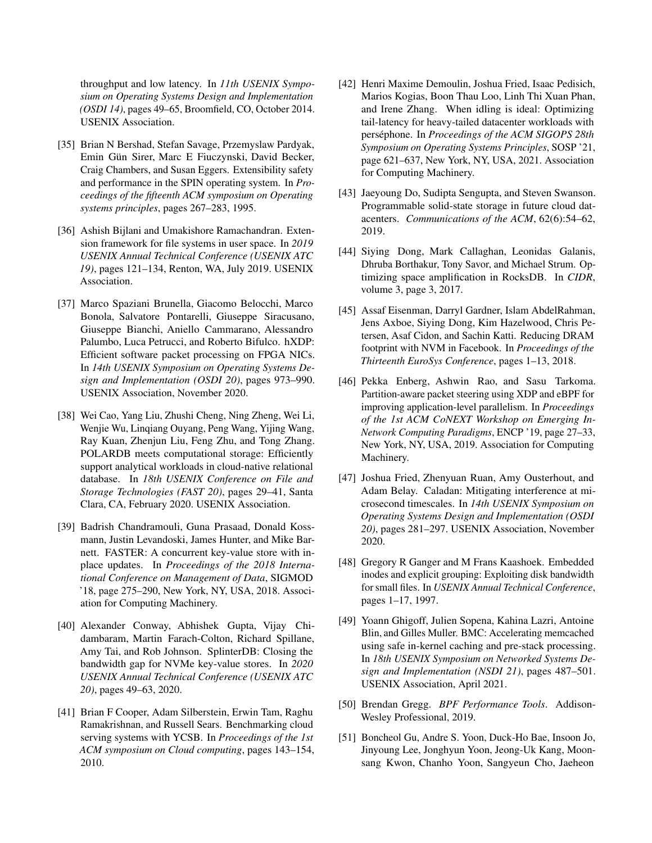throughput and low latency. In *11th USENIX Symposium on Operating Systems Design and Implementation (OSDI 14)*, pages 49–65, Broomfield, CO, October 2014. USENIX Association.

- <span id="page-14-15"></span>[35] Brian N Bershad, Stefan Savage, Przemyslaw Pardyak, Emin Gün Sirer, Marc E Fiuczynski, David Becker, Craig Chambers, and Susan Eggers. Extensibility safety and performance in the SPIN operating system. In *Proceedings of the fifteenth ACM symposium on Operating systems principles*, pages 267–283, 1995.
- <span id="page-14-9"></span>[36] Ashish Bijlani and Umakishore Ramachandran. Extension framework for file systems in user space. In *2019 USENIX Annual Technical Conference (USENIX ATC 19)*, pages 121–134, Renton, WA, July 2019. USENIX Association.
- <span id="page-14-7"></span>[37] Marco Spaziani Brunella, Giacomo Belocchi, Marco Bonola, Salvatore Pontarelli, Giuseppe Siracusano, Giuseppe Bianchi, Aniello Cammarano, Alessandro Palumbo, Luca Petrucci, and Roberto Bifulco. hXDP: Efficient software packet processing on FPGA NICs. In *14th USENIX Symposium on Operating Systems Design and Implementation (OSDI 20)*, pages 973–990. USENIX Association, November 2020.
- <span id="page-14-12"></span>[38] Wei Cao, Yang Liu, Zhushi Cheng, Ning Zheng, Wei Li, Wenjie Wu, Linqiang Ouyang, Peng Wang, Yijing Wang, Ray Kuan, Zhenjun Liu, Feng Zhu, and Tong Zhang. POLARDB meets computational storage: Efficiently support analytical workloads in cloud-native relational database. In *18th USENIX Conference on File and Storage Technologies (FAST 20)*, pages 29–41, Santa Clara, CA, February 2020. USENIX Association.
- <span id="page-14-4"></span>[39] Badrish Chandramouli, Guna Prasaad, Donald Kossmann, Justin Levandoski, James Hunter, and Mike Barnett. FASTER: A concurrent key-value store with inplace updates. In *Proceedings of the 2018 International Conference on Management of Data*, SIGMOD '18, page 275–290, New York, NY, USA, 2018. Association for Computing Machinery.
- <span id="page-14-6"></span>[40] Alexander Conway, Abhishek Gupta, Vijay Chidambaram, Martin Farach-Colton, Richard Spillane, Amy Tai, and Rob Johnson. SplinterDB: Closing the bandwidth gap for NVMe key-value stores. In *2020 USENIX Annual Technical Conference (USENIX ATC 20)*, pages 49–63, 2020.
- <span id="page-14-1"></span>[41] Brian F Cooper, Adam Silberstein, Erwin Tam, Raghu Ramakrishnan, and Russell Sears. Benchmarking cloud serving systems with YCSB. In *Proceedings of the 1st ACM symposium on Cloud computing*, pages 143–154, 2010.
- <span id="page-14-10"></span>[42] Henri Maxime Demoulin, Joshua Fried, Isaac Pedisich, Marios Kogias, Boon Thau Loo, Linh Thi Xuan Phan, and Irene Zhang. When idling is ideal: Optimizing tail-latency for heavy-tailed datacenter workloads with perséphone. In *Proceedings of the ACM SIGOPS 28th Symposium on Operating Systems Principles*, SOSP '21, page 621–637, New York, NY, USA, 2021. Association for Computing Machinery.
- <span id="page-14-13"></span>[43] Jaeyoung Do, Sudipta Sengupta, and Steven Swanson. Programmable solid-state storage in future cloud datacenters. *Communications of the ACM*, 62(6):54–62, 2019.
- <span id="page-14-0"></span>[44] Siying Dong, Mark Callaghan, Leonidas Galanis, Dhruba Borthakur, Tony Savor, and Michael Strum. Optimizing space amplification in RocksDB. In *CIDR*, volume 3, page 3, 2017.
- <span id="page-14-5"></span>[45] Assaf Eisenman, Darryl Gardner, Islam AbdelRahman, Jens Axboe, Siying Dong, Kim Hazelwood, Chris Petersen, Asaf Cidon, and Sachin Katti. Reducing DRAM footprint with NVM in Facebook. In *Proceedings of the Thirteenth EuroSys Conference*, pages 1–13, 2018.
- <span id="page-14-3"></span>[46] Pekka Enberg, Ashwin Rao, and Sasu Tarkoma. Partition-aware packet steering using XDP and eBPF for improving application-level parallelism. In *Proceedings of the 1st ACM CoNEXT Workshop on Emerging In-Network Computing Paradigms*, ENCP '19, page 27–33, New York, NY, USA, 2019. Association for Computing Machinery.
- <span id="page-14-11"></span>[47] Joshua Fried, Zhenyuan Ruan, Amy Ousterhout, and Adam Belay. Caladan: Mitigating interference at microsecond timescales. In *14th USENIX Symposium on Operating Systems Design and Implementation (OSDI 20)*, pages 281–297. USENIX Association, November 2020.
- <span id="page-14-16"></span>[48] Gregory R Ganger and M Frans Kaashoek. Embedded inodes and explicit grouping: Exploiting disk bandwidth for small files. In *USENIX Annual Technical Conference*, pages 1–17, 1997.
- <span id="page-14-8"></span>[49] Yoann Ghigoff, Julien Sopena, Kahina Lazri, Antoine Blin, and Gilles Muller. BMC: Accelerating memcached using safe in-kernel caching and pre-stack processing. In *18th USENIX Symposium on Networked Systems Design and Implementation (NSDI 21)*, pages 487–501. USENIX Association, April 2021.
- <span id="page-14-2"></span>[50] Brendan Gregg. *BPF Performance Tools*. Addison-Wesley Professional, 2019.
- <span id="page-14-14"></span>[51] Boncheol Gu, Andre S. Yoon, Duck-Ho Bae, Insoon Jo, Jinyoung Lee, Jonghyun Yoon, Jeong-Uk Kang, Moonsang Kwon, Chanho Yoon, Sangyeun Cho, Jaeheon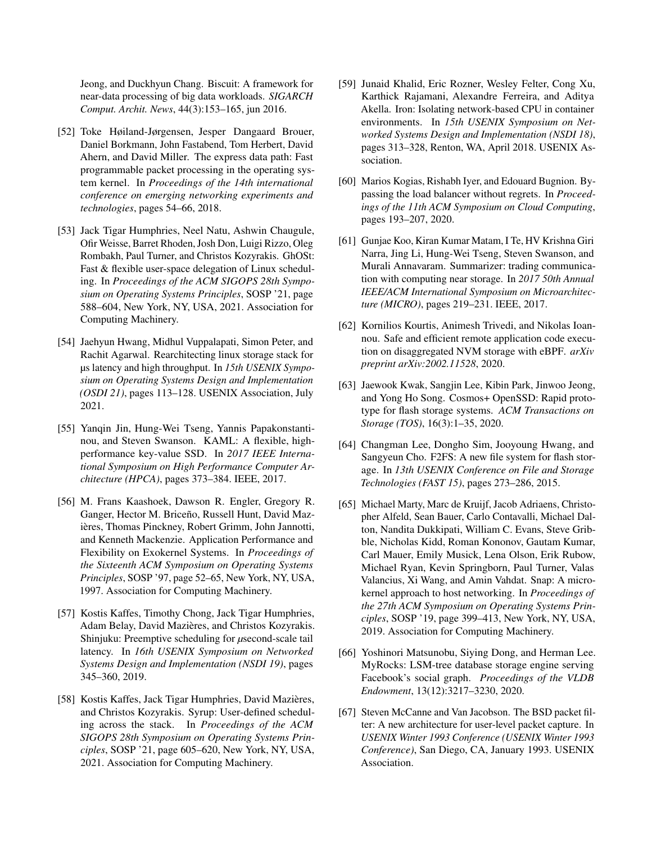Jeong, and Duckhyun Chang. Biscuit: A framework for near-data processing of big data workloads. *SIGARCH Comput. Archit. News*, 44(3):153–165, jun 2016.

- <span id="page-15-4"></span>[52] Toke Høiland-Jørgensen, Jesper Dangaard Brouer, Daniel Borkmann, John Fastabend, Tom Herbert, David Ahern, and David Miller. The express data path: Fast programmable packet processing in the operating system kernel. In *Proceedings of the 14th international conference on emerging networking experiments and technologies*, pages 54–66, 2018.
- <span id="page-15-6"></span>[53] Jack Tigar Humphries, Neel Natu, Ashwin Chaugule, Ofir Weisse, Barret Rhoden, Josh Don, Luigi Rizzo, Oleg Rombakh, Paul Turner, and Christos Kozyrakis. GhOSt: Fast & flexible user-space delegation of Linux scheduling. In *Proceedings of the ACM SIGOPS 28th Symposium on Operating Systems Principles*, SOSP '21, page 588–604, New York, NY, USA, 2021. Association for Computing Machinery.
- <span id="page-15-0"></span>[54] Jaehyun Hwang, Midhul Vuppalapati, Simon Peter, and Rachit Agarwal. Rearchitecting linux storage stack for µs latency and high throughput. In *15th USENIX Symposium on Operating Systems Design and Implementation (OSDI 21)*, pages 113–128. USENIX Association, July 2021.
- <span id="page-15-12"></span>[55] Yanqin Jin, Hung-Wei Tseng, Yannis Papakonstantinou, and Steven Swanson. KAML: A flexible, highperformance key-value SSD. In *2017 IEEE International Symposium on High Performance Computer Architecture (HPCA)*, pages 373–384. IEEE, 2017.
- <span id="page-15-15"></span>[56] M. Frans Kaashoek, Dawson R. Engler, Gregory R. Ganger, Hector M. Briceño, Russell Hunt, David Mazières, Thomas Pinckney, Robert Grimm, John Jannotti, and Kenneth Mackenzie. Application Performance and Flexibility on Exokernel Systems. In *Proceedings of the Sixteenth ACM Symposium on Operating Systems Principles*, SOSP '97, page 52–65, New York, NY, USA, 1997. Association for Computing Machinery.
- <span id="page-15-11"></span>[57] Kostis Kaffes, Timothy Chong, Jack Tigar Humphries, Adam Belay, David Mazières, and Christos Kozyrakis. Shinjuku: Preemptive scheduling for *µ*second-scale tail latency. In *16th USENIX Symposium on Networked Systems Design and Implementation (NSDI 19)*, pages 345–360, 2019.
- <span id="page-15-7"></span>[58] Kostis Kaffes, Jack Tigar Humphries, David Mazières, and Christos Kozyrakis. Syrup: User-defined scheduling across the stack. In *Proceedings of the ACM SIGOPS 28th Symposium on Operating Systems Principles*, SOSP '21, page 605–620, New York, NY, USA, 2021. Association for Computing Machinery.
- <span id="page-15-9"></span>[59] Junaid Khalid, Eric Rozner, Wesley Felter, Cong Xu, Karthick Rajamani, Alexandre Ferreira, and Aditya Akella. Iron: Isolating network-based CPU in container environments. In *15th USENIX Symposium on Networked Systems Design and Implementation (NSDI 18)*, pages 313–328, Renton, WA, April 2018. USENIX Association.
- <span id="page-15-5"></span>[60] Marios Kogias, Rishabh Iyer, and Edouard Bugnion. Bypassing the load balancer without regrets. In *Proceedings of the 11th ACM Symposium on Cloud Computing*, pages 193–207, 2020.
- <span id="page-15-13"></span>[61] Gunjae Koo, Kiran Kumar Matam, I Te, HV Krishna Giri Narra, Jing Li, Hung-Wei Tseng, Steven Swanson, and Murali Annavaram. Summarizer: trading communication with computing near storage. In *2017 50th Annual IEEE/ACM International Symposium on Microarchitecture (MICRO)*, pages 219–231. IEEE, 2017.
- <span id="page-15-10"></span>[62] Kornilios Kourtis, Animesh Trivedi, and Nikolas Ioannou. Safe and efficient remote application code execution on disaggregated NVM storage with eBPF. *arXiv preprint arXiv:2002.11528*, 2020.
- <span id="page-15-14"></span>[63] Jaewook Kwak, Sangjin Lee, Kibin Park, Jinwoo Jeong, and Yong Ho Song. Cosmos+ OpenSSD: Rapid prototype for flash storage systems. *ACM Transactions on Storage (TOS)*, 16(3):1–35, 2020.
- <span id="page-15-8"></span>[64] Changman Lee, Dongho Sim, Jooyoung Hwang, and Sangyeun Cho. F2FS: A new file system for flash storage. In *13th USENIX Conference on File and Storage Technologies (FAST 15)*, pages 273–286, 2015.
- <span id="page-15-3"></span>[65] Michael Marty, Marc de Kruijf, Jacob Adriaens, Christopher Alfeld, Sean Bauer, Carlo Contavalli, Michael Dalton, Nandita Dukkipati, William C. Evans, Steve Gribble, Nicholas Kidd, Roman Kononov, Gautam Kumar, Carl Mauer, Emily Musick, Lena Olson, Erik Rubow, Michael Ryan, Kevin Springborn, Paul Turner, Valas Valancius, Xi Wang, and Amin Vahdat. Snap: A microkernel approach to host networking. In *Proceedings of the 27th ACM Symposium on Operating Systems Principles*, SOSP '19, page 399–413, New York, NY, USA, 2019. Association for Computing Machinery.
- <span id="page-15-2"></span>[66] Yoshinori Matsunobu, Siying Dong, and Herman Lee. MyRocks: LSM-tree database storage engine serving Facebook's social graph. *Proceedings of the VLDB Endowment*, 13(12):3217–3230, 2020.
- <span id="page-15-1"></span>[67] Steven McCanne and Van Jacobson. The BSD packet filter: A new architecture for user-level packet capture. In *USENIX Winter 1993 Conference (USENIX Winter 1993 Conference)*, San Diego, CA, January 1993. USENIX Association.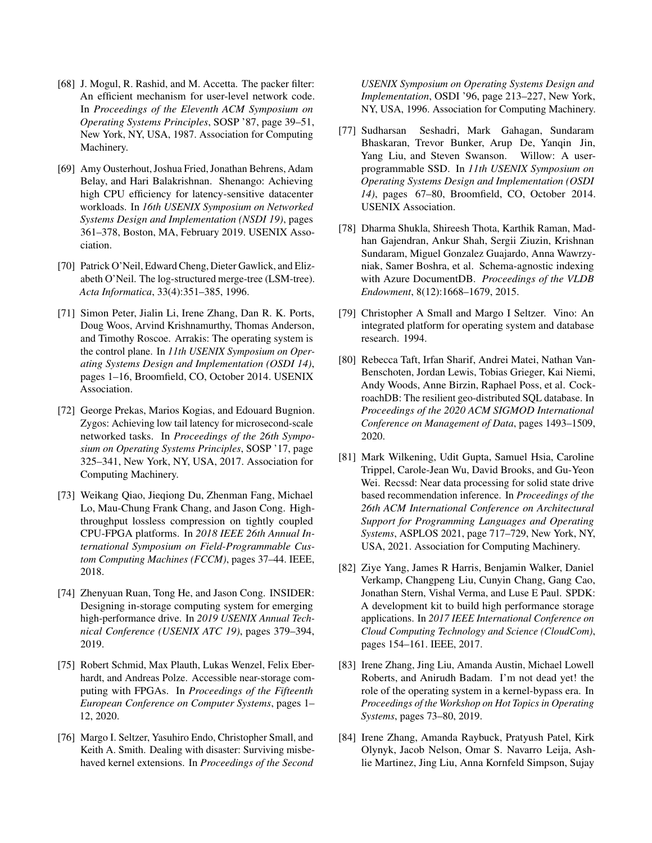- <span id="page-16-1"></span>[68] J. Mogul, R. Rashid, and M. Accetta. The packer filter: An efficient mechanism for user-level network code. In *Proceedings of the Eleventh ACM Symposium on Operating Systems Principles*, SOSP '87, page 39–51, New York, NY, USA, 1987. Association for Computing Machinery.
- <span id="page-16-8"></span>[69] Amy Ousterhout, Joshua Fried, Jonathan Behrens, Adam Belay, and Hari Balakrishnan. Shenango: Achieving high CPU efficiency for latency-sensitive datacenter workloads. In *16th USENIX Symposium on Networked Systems Design and Implementation (NSDI 19)*, pages 361–378, Boston, MA, February 2019. USENIX Association.
- <span id="page-16-2"></span>[70] Patrick O'Neil, Edward Cheng, Dieter Gawlick, and Elizabeth O'Neil. The log-structured merge-tree (LSM-tree). *Acta Informatica*, 33(4):351–385, 1996.
- <span id="page-16-9"></span>[71] Simon Peter, Jialin Li, Irene Zhang, Dan R. K. Ports, Doug Woos, Arvind Krishnamurthy, Thomas Anderson, and Timothy Roscoe. Arrakis: The operating system is the control plane. In *11th USENIX Symposium on Operating Systems Design and Implementation (OSDI 14)*, pages 1–16, Broomfield, CO, October 2014. USENIX Association.
- <span id="page-16-10"></span>[72] George Prekas, Marios Kogias, and Edouard Bugnion. Zygos: Achieving low tail latency for microsecond-scale networked tasks. In *Proceedings of the 26th Symposium on Operating Systems Principles*, SOSP '17, page 325–341, New York, NY, USA, 2017. Association for Computing Machinery.
- <span id="page-16-5"></span>[73] Weikang Qiao, Jieqiong Du, Zhenman Fang, Michael Lo, Mau-Chung Frank Chang, and Jason Cong. Highthroughput lossless compression on tightly coupled CPU-FPGA platforms. In *2018 IEEE 26th Annual International Symposium on Field-Programmable Custom Computing Machines (FCCM)*, pages 37–44. IEEE, 2018.
- <span id="page-16-6"></span>[74] Zhenyuan Ruan, Tong He, and Jason Cong. INSIDER: Designing in-storage computing system for emerging high-performance drive. In *2019 USENIX Annual Technical Conference (USENIX ATC 19)*, pages 379–394, 2019.
- <span id="page-16-12"></span>[75] Robert Schmid, Max Plauth, Lukas Wenzel, Felix Eberhardt, and Andreas Polze. Accessible near-storage computing with FPGAs. In *Proceedings of the Fifteenth European Conference on Computer Systems*, pages 1– 12, 2020.
- <span id="page-16-15"></span>[76] Margo I. Seltzer, Yasuhiro Endo, Christopher Small, and Keith A. Smith. Dealing with disaster: Surviving misbehaved kernel extensions. In *Proceedings of the Second*

*USENIX Symposium on Operating Systems Design and Implementation*, OSDI '96, page 213–227, New York, NY, USA, 1996. Association for Computing Machinery.

- <span id="page-16-13"></span>[77] Sudharsan Seshadri, Mark Gahagan, Sundaram Bhaskaran, Trevor Bunker, Arup De, Yanqin Jin, Yang Liu, and Steven Swanson. Willow: A userprogrammable SSD. In *11th USENIX Symposium on Operating Systems Design and Implementation (OSDI 14)*, pages 67–80, Broomfield, CO, October 2014. USENIX Association.
- <span id="page-16-7"></span>[78] Dharma Shukla, Shireesh Thota, Karthik Raman, Madhan Gajendran, Ankur Shah, Sergii Ziuzin, Krishnan Sundaram, Miguel Gonzalez Guajardo, Anna Wawrzyniak, Samer Boshra, et al. Schema-agnostic indexing with Azure DocumentDB. *Proceedings of the VLDB Endowment*, 8(12):1668–1679, 2015.
- <span id="page-16-16"></span>[79] Christopher A Small and Margo I Seltzer. Vino: An integrated platform for operating system and database research. 1994.
- <span id="page-16-3"></span>[80] Rebecca Taft, Irfan Sharif, Andrei Matei, Nathan Van-Benschoten, Jordan Lewis, Tobias Grieger, Kai Niemi, Andy Woods, Anne Birzin, Raphael Poss, et al. CockroachDB: The resilient geo-distributed SQL database. In *Proceedings of the 2020 ACM SIGMOD International Conference on Management of Data*, pages 1493–1509, 2020.
- <span id="page-16-14"></span>[81] Mark Wilkening, Udit Gupta, Samuel Hsia, Caroline Trippel, Carole-Jean Wu, David Brooks, and Gu-Yeon Wei. Recssd: Near data processing for solid state drive based recommendation inference. In *Proceedings of the 26th ACM International Conference on Architectural Support for Programming Languages and Operating Systems*, ASPLOS 2021, page 717–729, New York, NY, USA, 2021. Association for Computing Machinery.
- <span id="page-16-0"></span>[82] Ziye Yang, James R Harris, Benjamin Walker, Daniel Verkamp, Changpeng Liu, Cunyin Chang, Gang Cao, Jonathan Stern, Vishal Verma, and Luse E Paul. SPDK: A development kit to build high performance storage applications. In *2017 IEEE International Conference on Cloud Computing Technology and Science (CloudCom)*, pages 154–161. IEEE, 2017.
- <span id="page-16-4"></span>[83] Irene Zhang, Jing Liu, Amanda Austin, Michael Lowell Roberts, and Anirudh Badam. I'm not dead yet! the role of the operating system in a kernel-bypass era. In *Proceedings of the Workshop on Hot Topics in Operating Systems*, pages 73–80, 2019.
- <span id="page-16-11"></span>[84] Irene Zhang, Amanda Raybuck, Pratyush Patel, Kirk Olynyk, Jacob Nelson, Omar S. Navarro Leija, Ashlie Martinez, Jing Liu, Anna Kornfeld Simpson, Sujay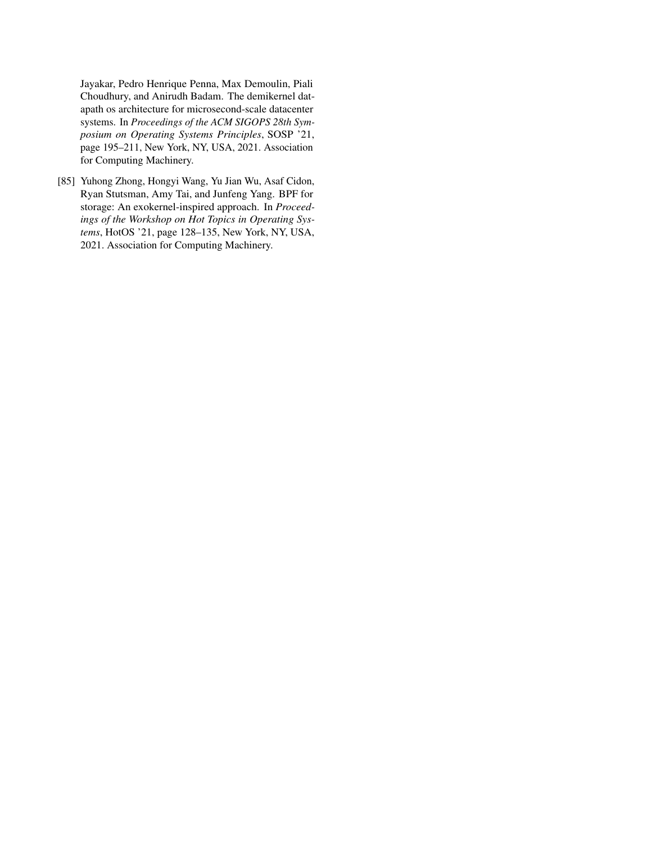Jayakar, Pedro Henrique Penna, Max Demoulin, Piali Choudhury, and Anirudh Badam. The demikernel datapath os architecture for microsecond-scale datacenter systems. In *Proceedings of the ACM SIGOPS 28th Symposium on Operating Systems Principles*, SOSP '21, page 195–211, New York, NY, USA, 2021. Association for Computing Machinery.

<span id="page-17-0"></span>[85] Yuhong Zhong, Hongyi Wang, Yu Jian Wu, Asaf Cidon, Ryan Stutsman, Amy Tai, and Junfeng Yang. BPF for storage: An exokernel-inspired approach. In *Proceedings of the Workshop on Hot Topics in Operating Systems*, HotOS '21, page 128–135, New York, NY, USA, 2021. Association for Computing Machinery.